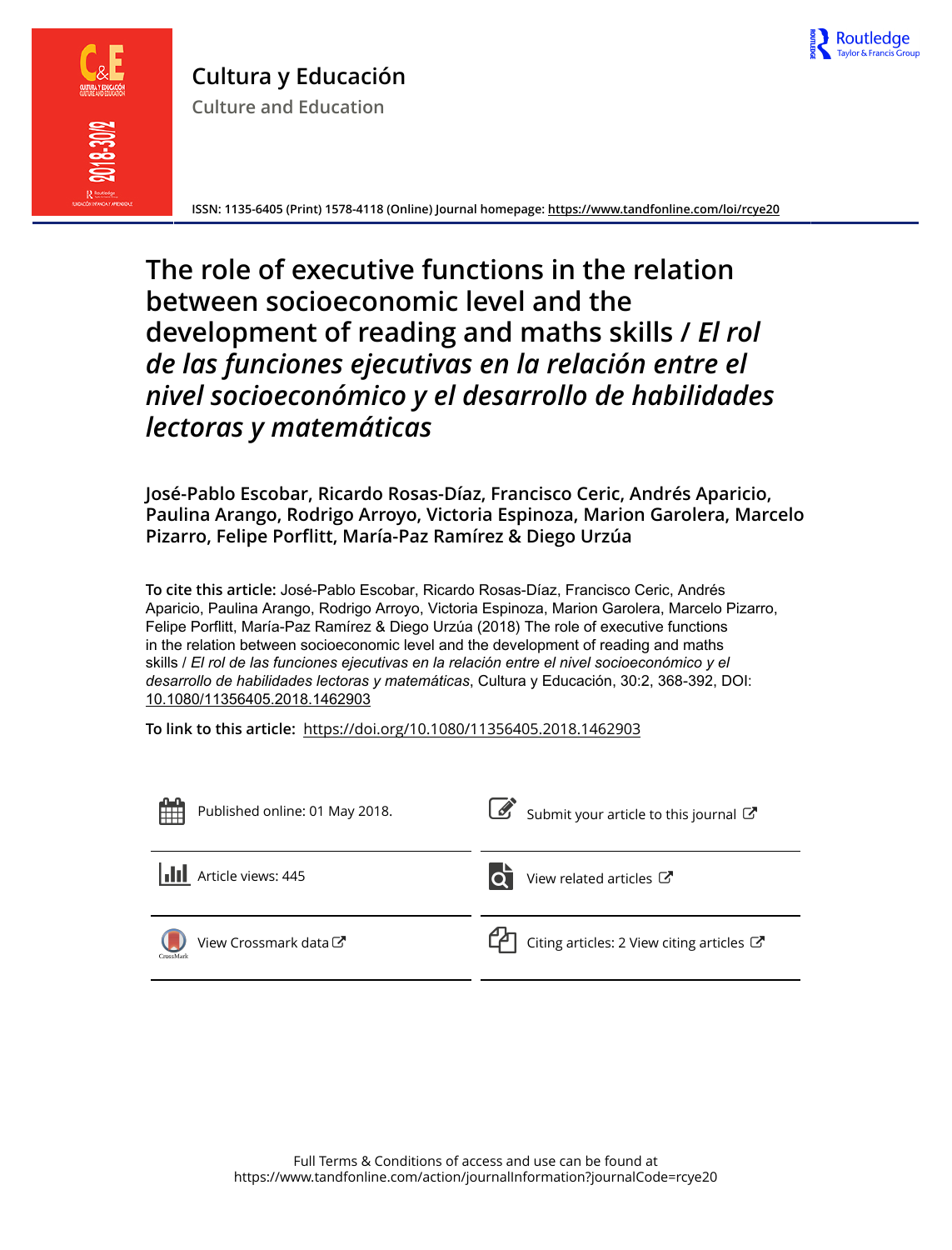



# **Cultura y Educación**

**Culture and Education**

**ISSN: 1135-6405 (Print) 1578-4118 (Online) Journal homepage:<https://www.tandfonline.com/loi/rcye20>**

**The role of executive functions in the relation between socioeconomic level and the development of reading and maths skills /** *El rol de las funciones ejecutivas en la relación entre el nivel socioeconómico y el desarrollo de habilidades lectoras y matemáticas*

**José-Pablo Escobar, Ricardo Rosas-Díaz, Francisco Ceric, Andrés Aparicio, Paulina Arango, Rodrigo Arroyo, Victoria Espinoza, Marion Garolera, Marcelo Pizarro, Felipe Porflitt, María-Paz Ramírez & Diego Urzúa**

**To cite this article:** José-Pablo Escobar, Ricardo Rosas-Díaz, Francisco Ceric, Andrés Aparicio, Paulina Arango, Rodrigo Arroyo, Victoria Espinoza, Marion Garolera, Marcelo Pizarro, Felipe Porflitt, María-Paz Ramírez & Diego Urzúa (2018) The role of executive functions in the relation between socioeconomic level and the development of reading and maths skills / *El rol de las funciones ejecutivas en la relación entre el nivel socioeconómico y el desarrollodehabilidadeslectorasymatemáticas*, Cultura y Educación, 30:2, 368-392, DOI: [10.1080/11356405.2018.1462903](https://www.tandfonline.com/action/showCitFormats?doi=10.1080/11356405.2018.1462903)

**To link to this article:** <https://doi.org/10.1080/11356405.2018.1462903>

| 雦<br>Published online: 01 May 2018.           | Submit your article to this journal $\mathbb{Z}$      |
|-----------------------------------------------|-------------------------------------------------------|
| hld<br>Article views: 445                     | View related articles $\mathbb{Z}$                    |
| View Crossmark data <sup>C</sup><br>CrossMark | $\Box$ Citing articles: 2 View citing articles $\Box$ |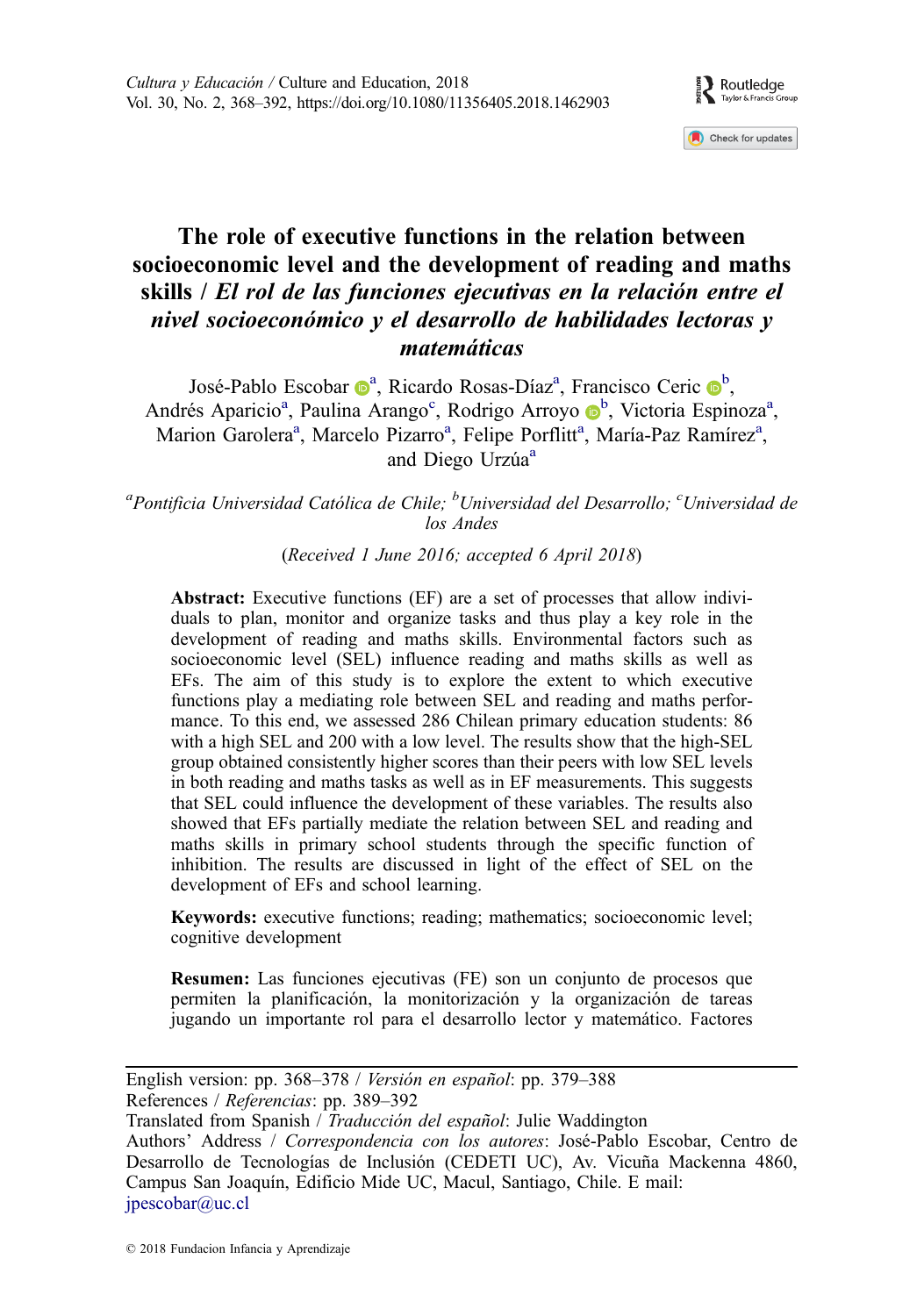

# The role of executive functions in the relation between socioeconomic level and the development of reading and maths skills / El rol de las funciones ejecutivas en la relación entre el nivel socioeconómico y el desarrollo de habilidades lectoras y matemáticas

José-Pablo Escobar <sup>®</sup>, Ricardo Rosas-Díaz<sup>a</sup>, Francisco Ceric <sup>®</sup>, Andrés Aparicio<sup>a</sup>, Paulina Arango<sup>c</sup>, Rodrigo Arroyo D<sup>b</sup>, Victoria Espinoza<sup>a</sup>, M[a](http://orcid.org/0000-0002-2093-3268)rion Garolera<sup>a</sup>, Marcelo Pizarro<sup>a</sup>, Felipe Porflitt<sup>a</sup>, María-Paz Ramírez<sup>a</sup>, and Diego Urzúa<sup>a</sup>

<sup>a</sup>Pontificia Universidad Católica de Chile; <sup>b</sup>Universidad del Desarrollo; <sup>c</sup>Universidad de los Andes

(Received 1 June 2016; accepted 6 April 2018)

Abstract: Executive functions (EF) are a set of processes that allow individuals to plan, monitor and organize tasks and thus play a key role in the development of reading and maths skills. Environmental factors such as socioeconomic level (SEL) influence reading and maths skills as well as EFs. The aim of this study is to explore the extent to which executive functions play a mediating role between SEL and reading and maths performance. To this end, we assessed 286 Chilean primary education students: 86 with a high SEL and 200 with a low level. The results show that the high-SEL group obtained consistently higher scores than their peers with low SEL levels in both reading and maths tasks as well as in EF measurements. This suggests that SEL could influence the development of these variables. The results also showed that EFs partially mediate the relation between SEL and reading and maths skills in primary school students through the specific function of inhibition. The results are discussed in light of the effect of SEL on the development of EFs and school learning.

Keywords: executive functions; reading; mathematics; socioeconomic level; cognitive development

Resumen: Las funciones ejecutivas (FE) son un conjunto de procesos que permiten la planificación, la monitorización y la organización de tareas jugando un importante rol para el desarrollo lector y matemático. Factores

Translated from Spanish / Traducción del español: Julie Waddington Authors' Address / Correspondencia con los autores: José-Pablo Escobar, Centro de Desarrollo de Tecnologías de Inclusión (CEDETI UC), Av. Vicuña Mackenna 4860, Campus San Joaquín, Edificio Mide UC, Macul, Santiago, Chile. E mail: jpescobar@uc.cl

English version: pp. 368–378 / Versión en español: pp. 379–388 References / Referencias: pp. 389–392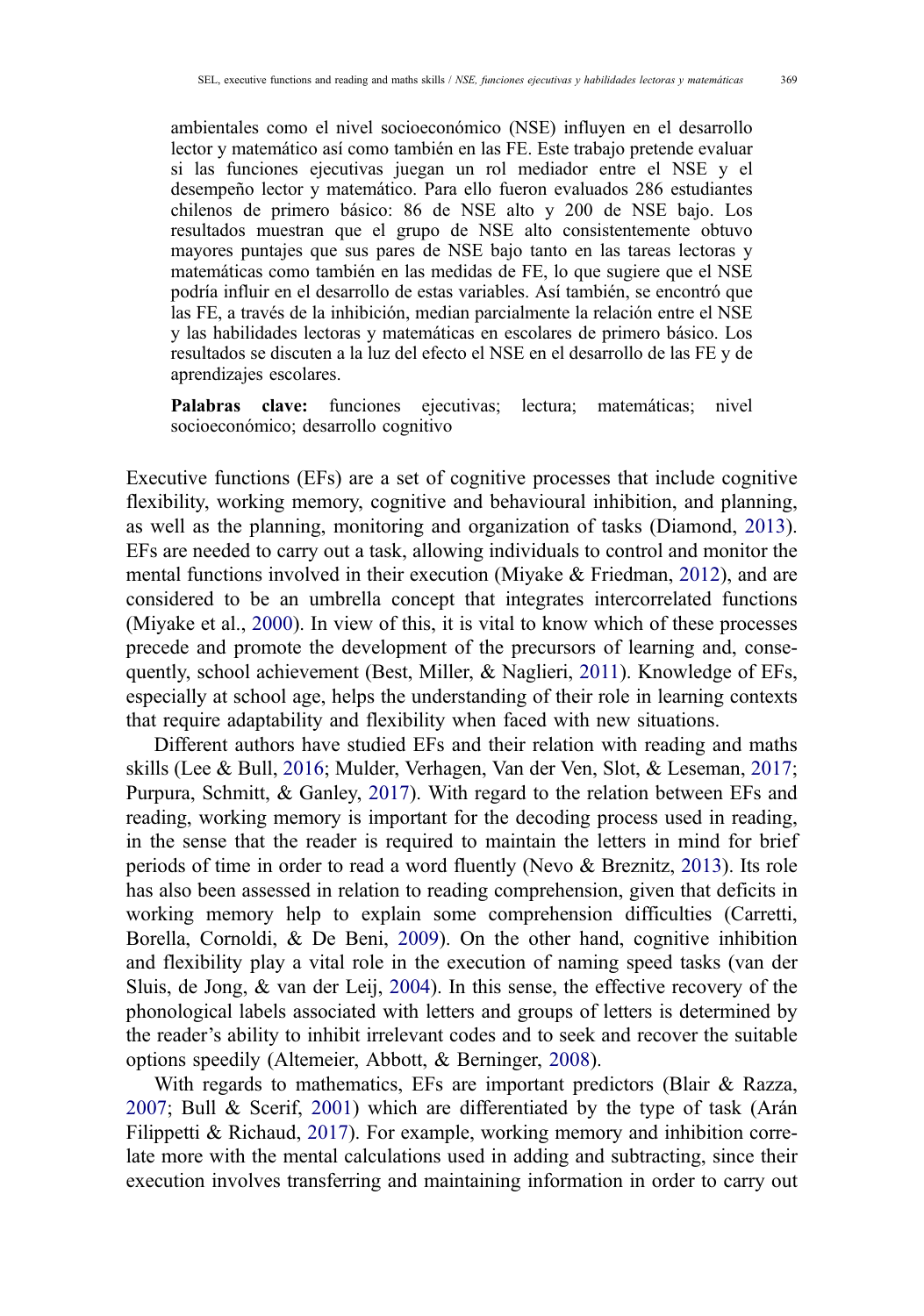<span id="page-2-0"></span>ambientales como el nivel socioeconómico (NSE) influyen en el desarrollo lector y matemático así como también en las FE. Este trabajo pretende evaluar si las funciones ejecutivas juegan un rol mediador entre el NSE y el desempeño lector y matemático. Para ello fueron evaluados 286 estudiantes chilenos de primero básico: 86 de NSE alto y 200 de NSE bajo. Los resultados muestran que el grupo de NSE alto consistentemente obtuvo mayores puntajes que sus pares de NSE bajo tanto en las tareas lectoras y matemáticas como también en las medidas de FE, lo que sugiere que el NSE podría influir en el desarrollo de estas variables. Así también, se encontró que las FE, a través de la inhibición, median parcialmente la relación entre el NSE y las habilidades lectoras y matemáticas en escolares de primero básico. Los resultados se discuten a la luz del efecto el NSE en el desarrollo de las FE y de aprendizajes escolares.

Palabras clave: funciones ejecutivas; lectura; matemáticas; nivel socioeconómico; desarrollo cognitivo

Executive functions (EFs) are a set of cognitive processes that include cognitive flexibility, working memory, cognitive and behavioural inhibition, and planning, as well as the planning, monitoring and organization of tasks (Diamond, [2013\)](#page-23-0). EFs are needed to carry out a task, allowing individuals to control and monitor the mental functions involved in their execution (Miyake  $&$  Friedman, [2012\)](#page-24-0), and are considered to be an umbrella concept that integrates intercorrelated functions (Miyake et al., [2000](#page-24-0)). In view of this, it is vital to know which of these processes precede and promote the development of the precursors of learning and, consequently, school achievement (Best, Miller, & Naglieri, [2011](#page-22-0)). Knowledge of EFs, especially at school age, helps the understanding of their role in learning contexts that require adaptability and flexibility when faced with new situations.

Different authors have studied EFs and their relation with reading and maths skills (Lee & Bull, [2016](#page-24-0); Mulder, Verhagen, Van der Ven, Slot, & Leseman, [2017](#page-24-0); Purpura, Schmitt, & Ganley, [2017\)](#page-24-0). With regard to the relation between EFs and reading, working memory is important for the decoding process used in reading, in the sense that the reader is required to maintain the letters in mind for brief periods of time in order to read a word fluently (Nevo & Breznitz, [2013\)](#page-24-0). Its role has also been assessed in relation to reading comprehension, given that deficits in working memory help to explain some comprehension difficulties (Carretti, Borella, Cornoldi, & De Beni, [2009](#page-22-0)). On the other hand, cognitive inhibition and flexibility play a vital role in the execution of naming speed tasks (van der Sluis, de Jong, & van der Leij, [2004\)](#page-25-0). In this sense, the effective recovery of the phonological labels associated with letters and groups of letters is determined by the reader's ability to inhibit irrelevant codes and to seek and recover the suitable options speedily (Altemeier, Abbott, & Berninger, [2008](#page-22-0)).

With regards to mathematics, EFs are important predictors (Blair & Razza, [2007](#page-22-0); Bull & Scerif, [2001](#page-22-0)) which are differentiated by the type of task (Arán Filippetti & Richaud, [2017](#page-22-0)). For example, working memory and inhibition correlate more with the mental calculations used in adding and subtracting, since their execution involves transferring and maintaining information in order to carry out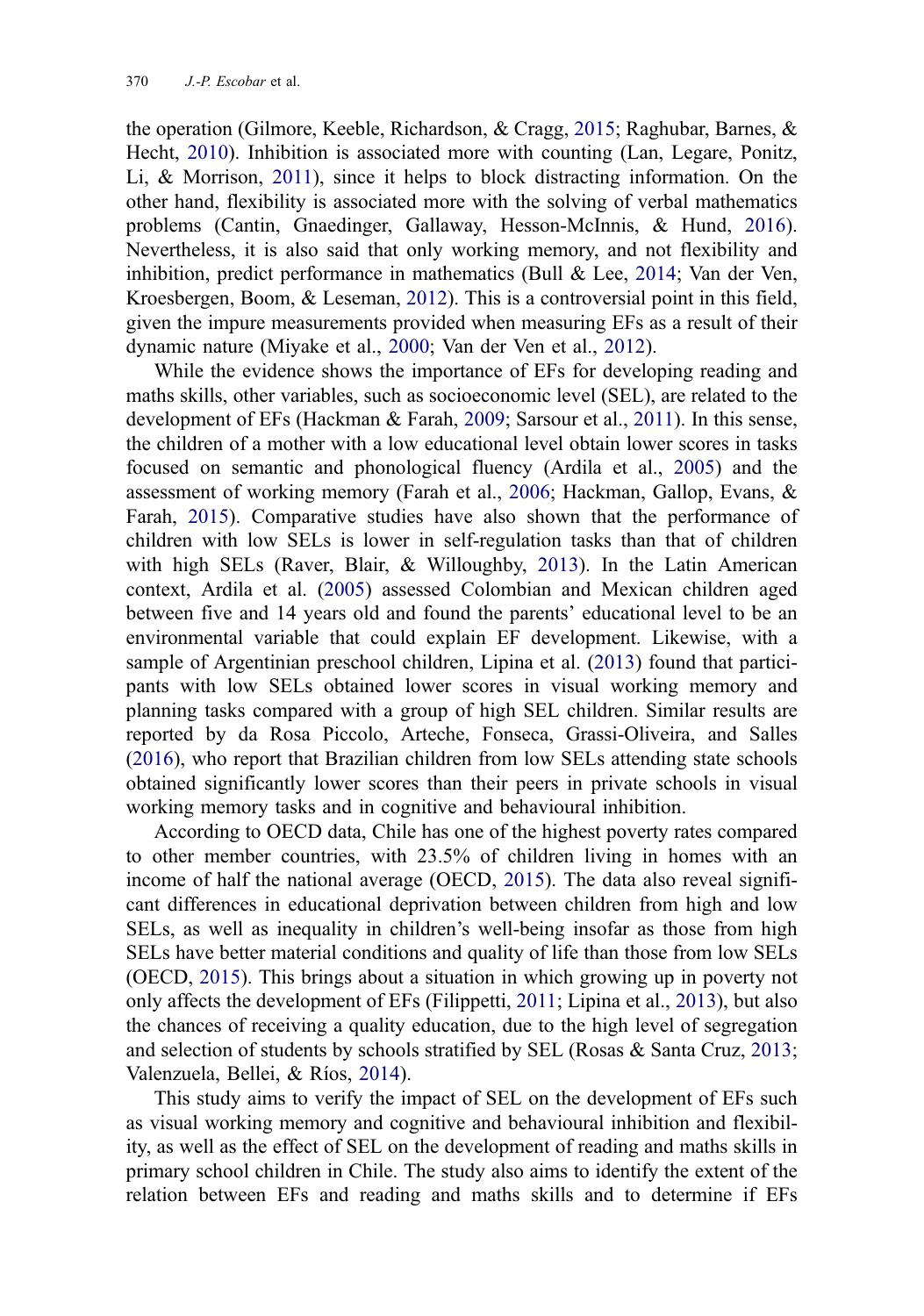<span id="page-3-0"></span>the operation (Gilmore, Keeble, Richardson, & Cragg, [2015;](#page-23-0) Raghubar, Barnes, & Hecht, [2010\)](#page-24-0). Inhibition is associated more with counting (Lan, Legare, Ponitz, Li, & Morrison, [2011](#page-23-0)), since it helps to block distracting information. On the other hand, flexibility is associated more with the solving of verbal mathematics problems (Cantin, Gnaedinger, Gallaway, Hesson-McInnis, & Hund, [2016\)](#page-22-0). Nevertheless, it is also said that only working memory, and not flexibility and inhibition, predict performance in mathematics (Bull & Lee, [2014](#page-22-0); Van der Ven, Kroesbergen, Boom, & Leseman, [2012\)](#page-25-0). This is a controversial point in this field, given the impure measurements provided when measuring EFs as a result of their dynamic nature (Miyake et al., [2000](#page-24-0); Van der Ven et al., [2012\)](#page-25-0).

While the evidence shows the importance of EFs for developing reading and maths skills, other variables, such as socioeconomic level (SEL), are related to the development of EFs (Hackman & Farah, [2009;](#page-23-0) Sarsour et al., [2011](#page-25-0)). In this sense, the children of a mother with a low educational level obtain lower scores in tasks focused on semantic and phonological fluency (Ardila et al., [2005\)](#page-22-0) and the assessment of working memory (Farah et al., [2006;](#page-23-0) Hackman, Gallop, Evans, & Farah, [2015](#page-23-0)). Comparative studies have also shown that the performance of children with low SELs is lower in self-regulation tasks than that of children with high SELs (Raver, Blair, & Willoughby, [2013](#page-25-0)). In the Latin American context, Ardila et al. [\(2005](#page-22-0)) assessed Colombian and Mexican children aged between five and 14 years old and found the parents' educational level to be an environmental variable that could explain EF development. Likewise, with a sample of Argentinian preschool children, Lipina et al. [\(2013](#page-24-0)) found that participants with low SELs obtained lower scores in visual working memory and planning tasks compared with a group of high SEL children. Similar results are reported by da Rosa Piccolo, Arteche, Fonseca, Grassi-Oliveira, and Salles ([2016\)](#page-23-0), who report that Brazilian children from low SELs attending state schools obtained significantly lower scores than their peers in private schools in visual working memory tasks and in cognitive and behavioural inhibition.

According to OECD data, Chile has one of the highest poverty rates compared to other member countries, with 23.5% of children living in homes with an income of half the national average (OECD, [2015](#page-24-0)). The data also reveal significant differences in educational deprivation between children from high and low SELs, as well as inequality in children's well-being insofar as those from high SELs have better material conditions and quality of life than those from low SELs (OECD, [2015\)](#page-24-0). This brings about a situation in which growing up in poverty not only affects the development of EFs (Filippetti, [2011](#page-23-0); Lipina et al., [2013\)](#page-24-0), but also the chances of receiving a quality education, due to the high level of segregation and selection of students by schools stratified by SEL (Rosas & Santa Cruz, [2013](#page-25-0); Valenzuela, Bellei, & Ríos, [2014\)](#page-25-0).

This study aims to verify the impact of SEL on the development of EFs such as visual working memory and cognitive and behavioural inhibition and flexibility, as well as the effect of SEL on the development of reading and maths skills in primary school children in Chile. The study also aims to identify the extent of the relation between EFs and reading and maths skills and to determine if EFs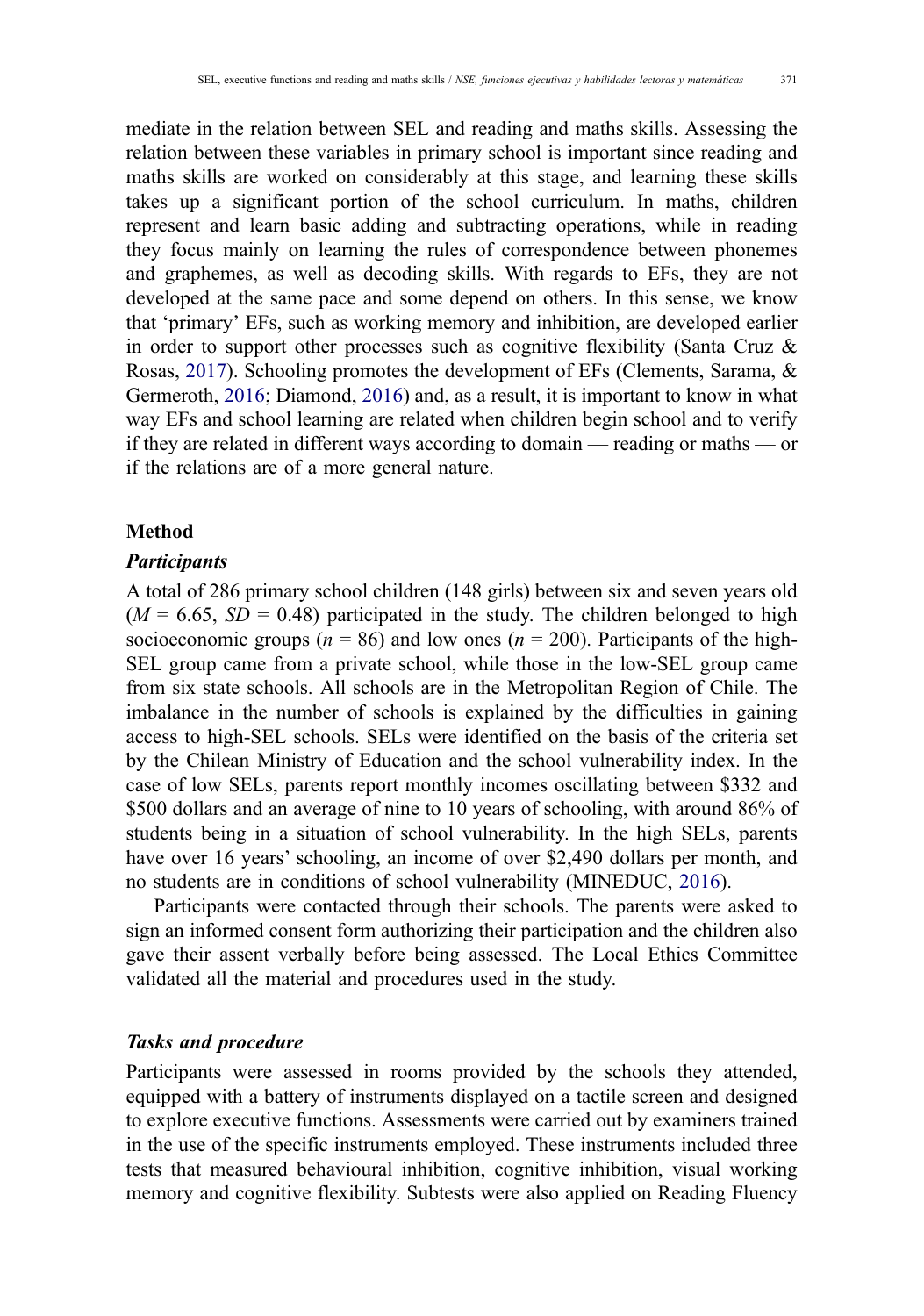<span id="page-4-0"></span>mediate in the relation between SEL and reading and maths skills. Assessing the relation between these variables in primary school is important since reading and maths skills are worked on considerably at this stage, and learning these skills takes up a significant portion of the school curriculum. In maths, children represent and learn basic adding and subtracting operations, while in reading they focus mainly on learning the rules of correspondence between phonemes and graphemes, as well as decoding skills. With regards to EFs, they are not developed at the same pace and some depend on others. In this sense, we know that 'primary' EFs, such as working memory and inhibition, are developed earlier in order to support other processes such as cognitive flexibility (Santa Cruz & Rosas, [2017](#page-25-0)). Schooling promotes the development of EFs (Clements, Sarama, & Germeroth, [2016;](#page-22-0) Diamond, [2016](#page-23-0)) and, as a result, it is important to know in what way EFs and school learning are related when children begin school and to verify if they are related in different ways according to domain — reading or maths — or if the relations are of a more general nature.

#### **Method**

#### **Participants**

A total of 286 primary school children (148 girls) between six and seven years old  $(M = 6.65, SD = 0.48)$  participated in the study. The children belonged to high socioeconomic groups ( $n = 86$ ) and low ones ( $n = 200$ ). Participants of the high-SEL group came from a private school, while those in the low-SEL group came from six state schools. All schools are in the Metropolitan Region of Chile. The imbalance in the number of schools is explained by the difficulties in gaining access to high-SEL schools. SELs were identified on the basis of the criteria set by the Chilean Ministry of Education and the school vulnerability index. In the case of low SELs, parents report monthly incomes oscillating between \$332 and \$500 dollars and an average of nine to 10 years of schooling, with around 86% of students being in a situation of school vulnerability. In the high SELs, parents have over 16 years' schooling, an income of over \$2,490 dollars per month, and no students are in conditions of school vulnerability (MINEDUC, [2016\)](#page-24-0).

Participants were contacted through their schools. The parents were asked to sign an informed consent form authorizing their participation and the children also gave their assent verbally before being assessed. The Local Ethics Committee validated all the material and procedures used in the study.

#### Tasks and procedure

Participants were assessed in rooms provided by the schools they attended, equipped with a battery of instruments displayed on a tactile screen and designed to explore executive functions. Assessments were carried out by examiners trained in the use of the specific instruments employed. These instruments included three tests that measured behavioural inhibition, cognitive inhibition, visual working memory and cognitive flexibility. Subtests were also applied on Reading Fluency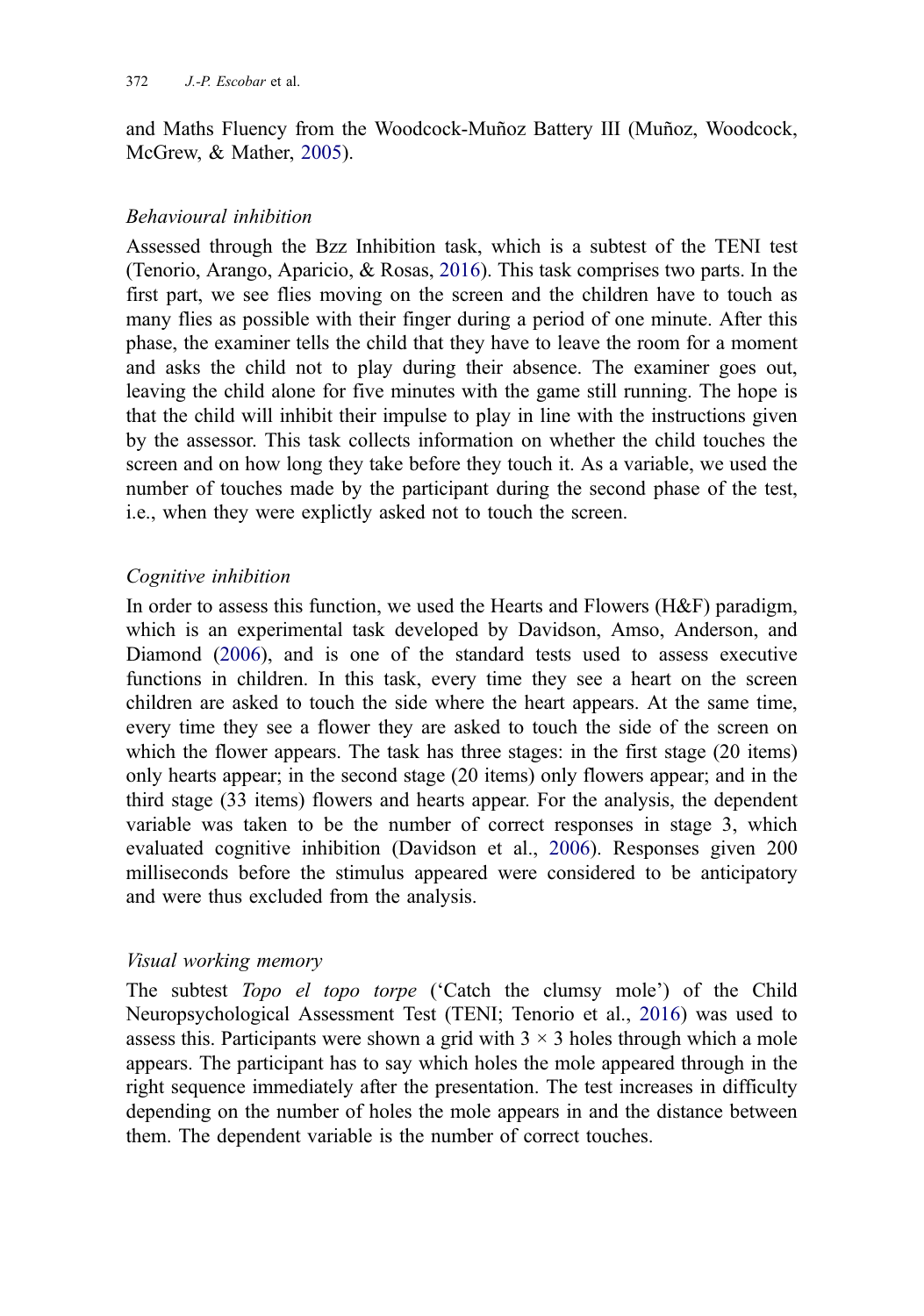<span id="page-5-0"></span>and Maths Fluency from the Woodcock-Muñoz Battery III (Muñoz, Woodcock, McGrew, & Mather, [2005\)](#page-24-0).

## Behavioural inhibition

Assessed through the Bzz Inhibition task, which is a subtest of the TENI test (Tenorio, Arango, Aparicio, & Rosas, [2016\)](#page-25-0). This task comprises two parts. In the first part, we see flies moving on the screen and the children have to touch as many flies as possible with their finger during a period of one minute. After this phase, the examiner tells the child that they have to leave the room for a moment and asks the child not to play during their absence. The examiner goes out, leaving the child alone for five minutes with the game still running. The hope is that the child will inhibit their impulse to play in line with the instructions given by the assessor. This task collects information on whether the child touches the screen and on how long they take before they touch it. As a variable, we used the number of touches made by the participant during the second phase of the test, i.e., when they were explictly asked not to touch the screen.

## Cognitive inhibition

In order to assess this function, we used the Hearts and Flowers (H&F) paradigm, which is an experimental task developed by Davidson, Amso, Anderson, and Diamond [\(2006](#page-23-0)), and is one of the standard tests used to assess executive functions in children. In this task, every time they see a heart on the screen children are asked to touch the side where the heart appears. At the same time, every time they see a flower they are asked to touch the side of the screen on which the flower appears. The task has three stages: in the first stage (20 items) only hearts appear; in the second stage (20 items) only flowers appear; and in the third stage (33 items) flowers and hearts appear. For the analysis, the dependent variable was taken to be the number of correct responses in stage 3, which evaluated cognitive inhibition (Davidson et al., [2006](#page-23-0)). Responses given 200 milliseconds before the stimulus appeared were considered to be anticipatory and were thus excluded from the analysis.

## Visual working memory

The subtest Topo el topo torpe ('Catch the clumsy mole') of the Child Neuropsychological Assessment Test (TENI; Tenorio et al., [2016](#page-25-0)) was used to assess this. Participants were shown a grid with  $3 \times 3$  holes through which a mole appears. The participant has to say which holes the mole appeared through in the right sequence immediately after the presentation. The test increases in difficulty depending on the number of holes the mole appears in and the distance between them. The dependent variable is the number of correct touches.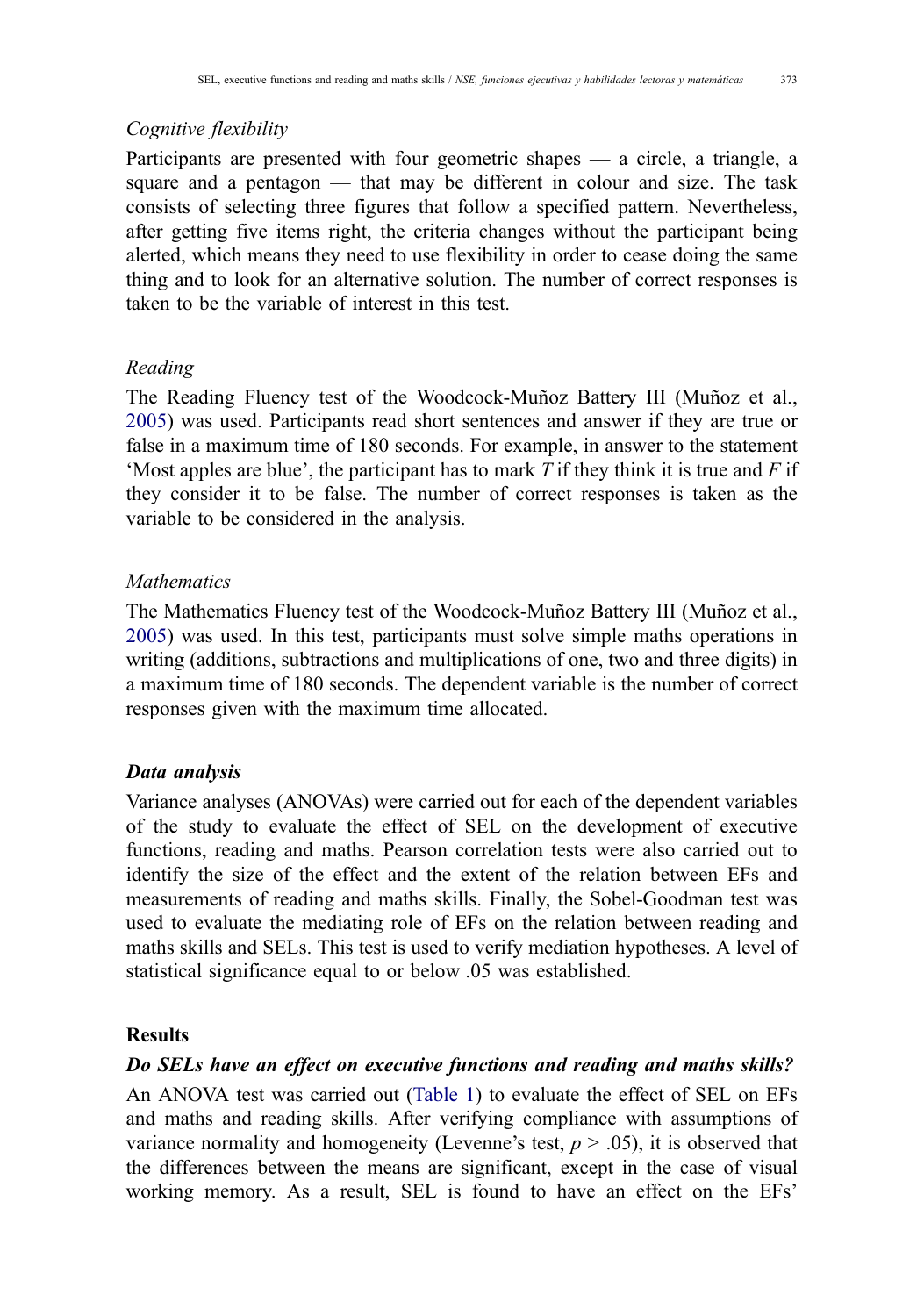## Cognitive flexibility

Participants are presented with four geometric shapes — a circle, a triangle, a square and a pentagon — that may be different in colour and size. The task consists of selecting three figures that follow a specified pattern. Nevertheless, after getting five items right, the criteria changes without the participant being alerted, which means they need to use flexibility in order to cease doing the same thing and to look for an alternative solution. The number of correct responses is taken to be the variable of interest in this test.

#### Reading

The Reading Fluency test of the Woodcock-Muñoz Battery III (Muñoz et al., [2005](#page-24-0)) was used. Participants read short sentences and answer if they are true or false in a maximum time of 180 seconds. For example, in answer to the statement 'Most apples are blue', the participant has to mark T if they think it is true and F if they consider it to be false. The number of correct responses is taken as the variable to be considered in the analysis.

#### **Mathematics**

The Mathematics Fluency test of the Woodcock-Muñoz Battery III (Muñoz et al., [2005](#page-24-0)) was used. In this test, participants must solve simple maths operations in writing (additions, subtractions and multiplications of one, two and three digits) in a maximum time of 180 seconds. The dependent variable is the number of correct responses given with the maximum time allocated.

## Data analysis

Variance analyses (ANOVAs) were carried out for each of the dependent variables of the study to evaluate the effect of SEL on the development of executive functions, reading and maths. Pearson correlation tests were also carried out to identify the size of the effect and the extent of the relation between EFs and measurements of reading and maths skills. Finally, the Sobel-Goodman test was used to evaluate the mediating role of EFs on the relation between reading and maths skills and SELs. This test is used to verify mediation hypotheses. A level of statistical significance equal to or below .05 was established.

#### Results

## Do SELs have an effect on executive functions and reading and maths skills?

An ANOVA test was carried out ([Table 1\)](#page-7-0) to evaluate the effect of SEL on EFs and maths and reading skills. After verifying compliance with assumptions of variance normality and homogeneity (Levenne's test,  $p > .05$ ), it is observed that the differences between the means are significant, except in the case of visual working memory. As a result, SEL is found to have an effect on the EFs'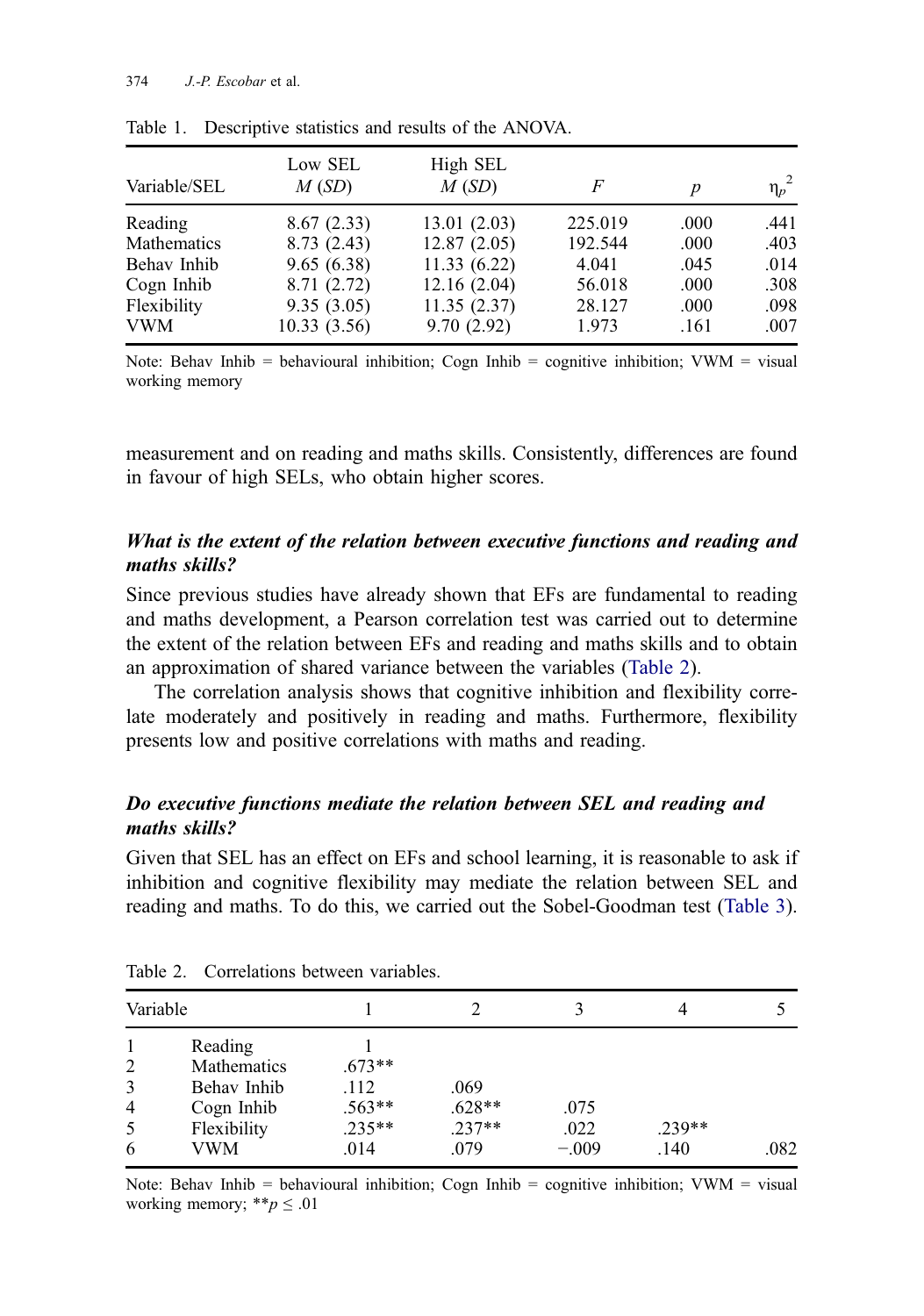| Variable/SEL | Low SEL<br>M(SD) | High SEL<br>M(SD) | F       | p    | $\eta_p^2$ |
|--------------|------------------|-------------------|---------|------|------------|
| Reading      | 8.67(2.33)       | 13.01(2.03)       | 225.019 | .000 | .441       |
| Mathematics  | 8.73(2.43)       | 12.87(2.05)       | 192.544 | .000 | .403       |
| Behav Inhib  | 9.65(6.38)       | 11.33(6.22)       | 4.041   | .045 | .014       |
| Cogn Inhib   | 8.71 (2.72)      | 12.16(2.04)       | 56.018  | .000 | .308       |
| Flexibility  | 9.35(3.05)       | 11.35(2.37)       | 28.127  | .000 | .098       |
| <b>VWM</b>   | 10.33(3.56)      | 9.70(2.92)        | 1.973   | .161 | .007       |

<span id="page-7-0"></span>Table 1. Descriptive statistics and results of the ANOVA.

Note: Behav Inhib = behavioural inhibition; Cogn Inhib = cognitive inhibition; VWM = visual working memory

measurement and on reading and maths skills. Consistently, differences are found in favour of high SELs, who obtain higher scores.

## What is the extent of the relation between executive functions and reading and maths skills?

Since previous studies have already shown that EFs are fundamental to reading and maths development, a Pearson correlation test was carried out to determine the extent of the relation between EFs and reading and maths skills and to obtain an approximation of shared variance between the variables (Table 2).

The correlation analysis shows that cognitive inhibition and flexibility correlate moderately and positively in reading and maths. Furthermore, flexibility presents low and positive correlations with maths and reading.

## Do executive functions mediate the relation between SEL and reading and maths skills?

Given that SEL has an effect on EFs and school learning, it is reasonable to ask if inhibition and cognitive flexibility may mediate the relation between SEL and reading and maths. To do this, we carried out the Sobel-Goodman test ([Table 3\)](#page-8-0).

| Variable       |                        |          |          |         |          |      |
|----------------|------------------------|----------|----------|---------|----------|------|
| 2              | Reading<br>Mathematics | $.673**$ |          |         |          |      |
| 3              | Behav Inhib            | .112     | .069     |         |          |      |
| $\overline{4}$ | Cogn Inhib             | $.563**$ | $.628**$ | .075    |          |      |
| 5              | Flexibility            | $.235**$ | $.237**$ | .022    | $.239**$ |      |
| 6              | VWM                    | .014     | .079     | $-.009$ | .140     | .082 |

Table 2. Correlations between variables.

Note: Behav Inhib = behavioural inhibition; Cogn Inhib = cognitive inhibition; VWM = visual working memory;  $**_p \leq .01$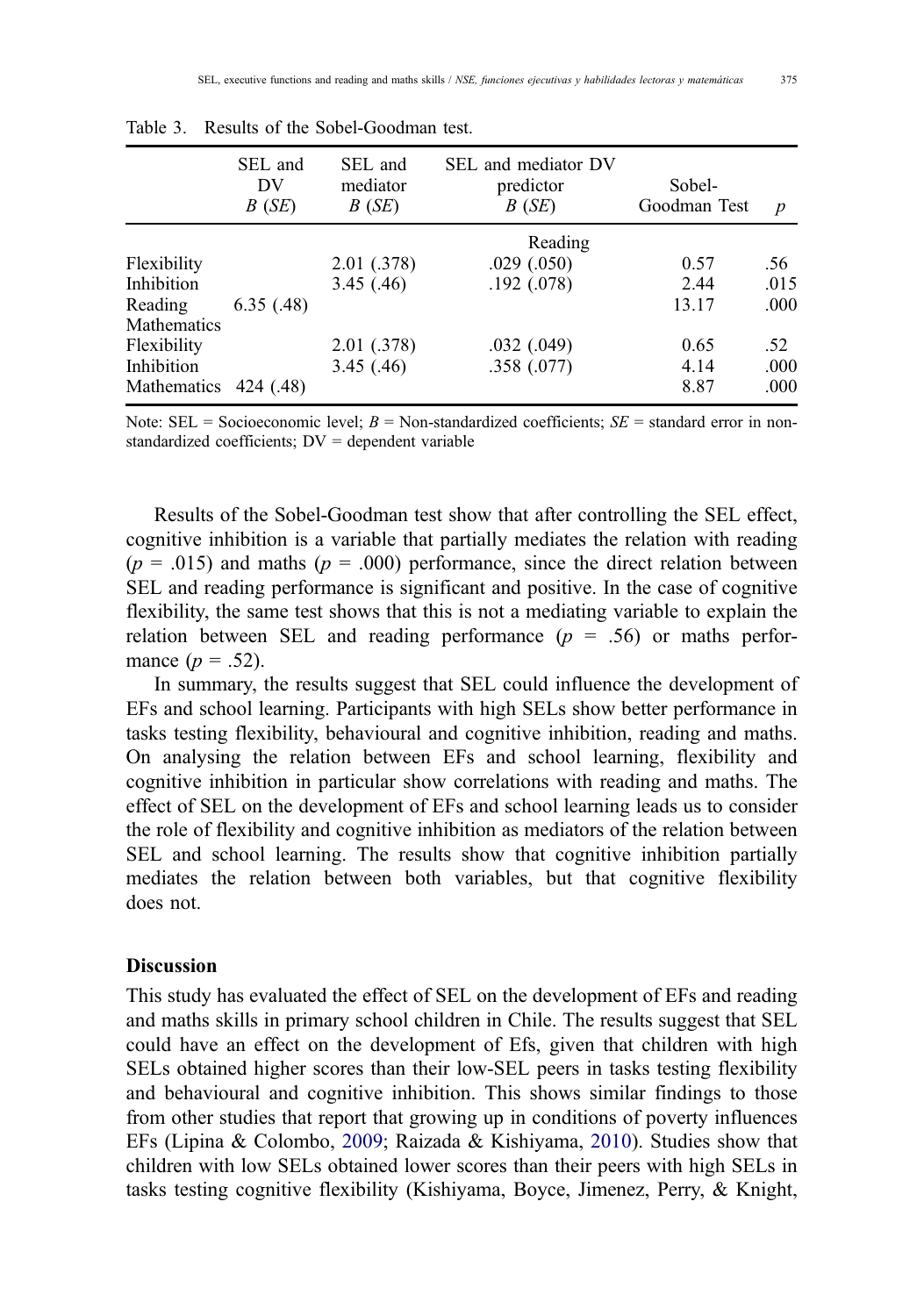|             | SEL and<br>DV<br>B(SE) | SEL and<br>mediator<br>B(SE) | SEL and mediator DV<br>predictor<br>B(SE) | Sobel-<br>Goodman Test | $\boldsymbol{p}$ |
|-------------|------------------------|------------------------------|-------------------------------------------|------------------------|------------------|
|             |                        |                              | Reading                                   |                        |                  |
| Flexibility |                        | 2.01(0.378)                  | .029(.050)                                | 0.57                   | .56              |
| Inhibition  |                        | 3.45(.46)                    | .192(.078)                                | 2.44                   | .015             |
| Reading     | 6.35(0.48)             |                              |                                           | 13.17                  | .000             |
| Mathematics |                        |                              |                                           |                        |                  |
| Flexibility |                        | 2.01 (.378)                  | .032(.049)                                | 0.65                   | .52              |
| Inhibition  |                        | 3.45(.46)                    | .358(.077)                                | 4.14                   | .000             |
| Mathematics | 424 (.48)              |                              |                                           | 8.87                   | .000             |

<span id="page-8-0"></span>Table 3. Results of the Sobel-Goodman test.

Note: SEL = Socioeconomic level;  $B =$  Non-standardized coefficients;  $SE =$  standard error in nonstandardized coefficients;  $DV =$  dependent variable

Results of the Sobel-Goodman test show that after controlling the SEL effect, cognitive inhibition is a variable that partially mediates the relation with reading  $(p = .015)$  and maths  $(p = .000)$  performance, since the direct relation between SEL and reading performance is significant and positive. In the case of cognitive flexibility, the same test shows that this is not a mediating variable to explain the relation between SEL and reading performance  $(p = .56)$  or maths performance  $(p = .52)$ .

In summary, the results suggest that SEL could influence the development of EFs and school learning. Participants with high SELs show better performance in tasks testing flexibility, behavioural and cognitive inhibition, reading and maths. On analysing the relation between EFs and school learning, flexibility and cognitive inhibition in particular show correlations with reading and maths. The effect of SEL on the development of EFs and school learning leads us to consider the role of flexibility and cognitive inhibition as mediators of the relation between SEL and school learning. The results show that cognitive inhibition partially mediates the relation between both variables, but that cognitive flexibility does not.

#### Discussion

This study has evaluated the effect of SEL on the development of EFs and reading and maths skills in primary school children in Chile. The results suggest that SEL could have an effect on the development of Efs, given that children with high SELs obtained higher scores than their low-SEL peers in tasks testing flexibility and behavioural and cognitive inhibition. This shows similar findings to those from other studies that report that growing up in conditions of poverty influences EFs (Lipina & Colombo, [2009;](#page-24-0) Raizada & Kishiyama, [2010](#page-24-0)). Studies show that children with low SELs obtained lower scores than their peers with high SELs in tasks testing cognitive flexibility (Kishiyama, Boyce, Jimenez, Perry, & Knight,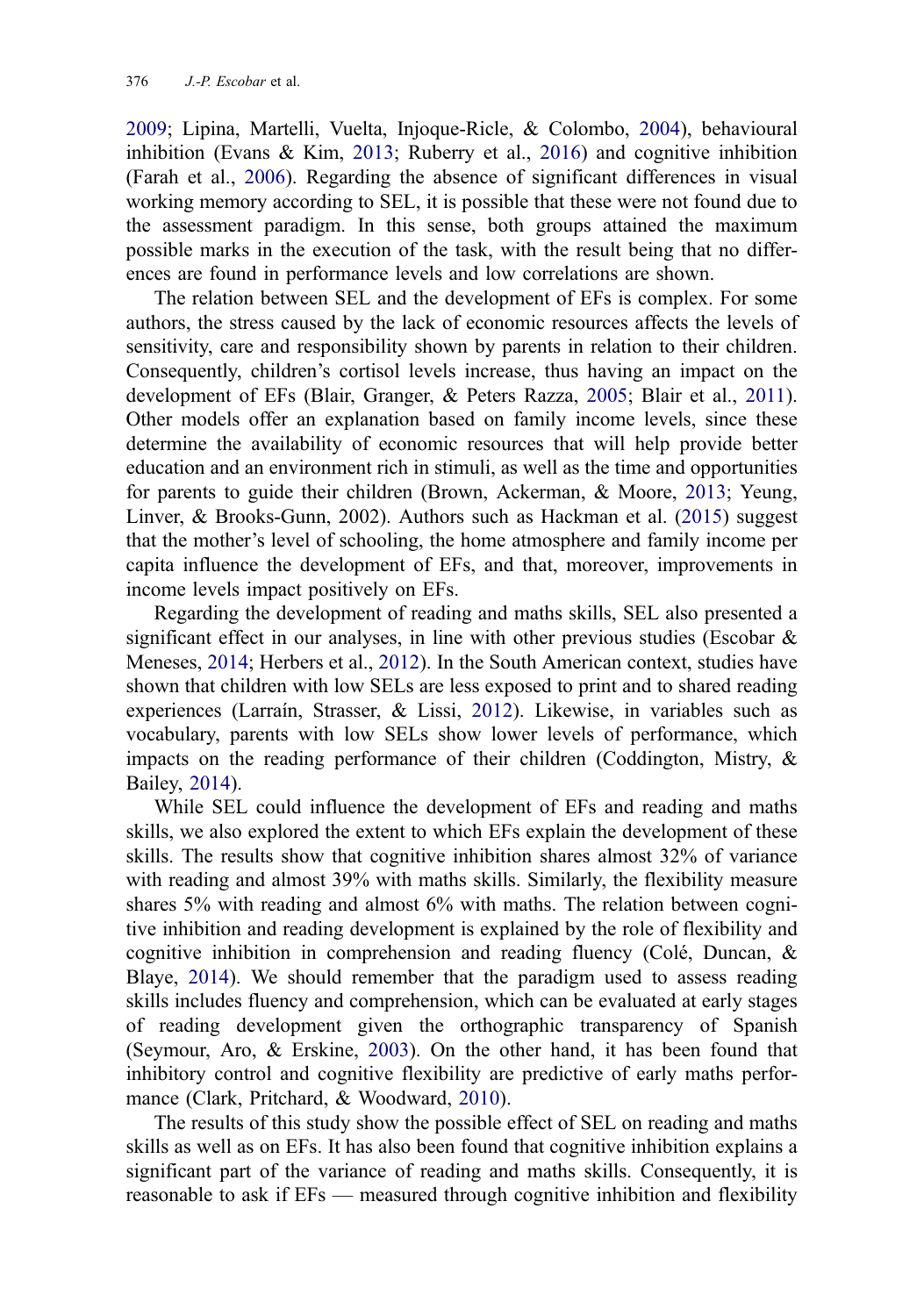<span id="page-9-0"></span>[2009](#page-23-0); Lipina, Martelli, Vuelta, Injoque-Ricle, & Colombo, [2004](#page-24-0)), behavioural inhibition (Evans & Kim, [2013](#page-23-0); Ruberry et al., [2016](#page-25-0)) and cognitive inhibition (Farah et al., [2006](#page-23-0)). Regarding the absence of significant differences in visual working memory according to SEL, it is possible that these were not found due to the assessment paradigm. In this sense, both groups attained the maximum possible marks in the execution of the task, with the result being that no differences are found in performance levels and low correlations are shown.

The relation between SEL and the development of EFs is complex. For some authors, the stress caused by the lack of economic resources affects the levels of sensitivity, care and responsibility shown by parents in relation to their children. Consequently, children's cortisol levels increase, thus having an impact on the development of EFs (Blair, Granger, & Peters Razza, [2005](#page-22-0); Blair et al., [2011\)](#page-22-0). Other models offer an explanation based on family income levels, since these determine the availability of economic resources that will help provide better education and an environment rich in stimuli, as well as the time and opportunities for parents to guide their children (Brown, Ackerman, & Moore, [2013;](#page-22-0) Yeung, Linver, & Brooks-Gunn, 2002). Authors such as Hackman et al. ([2015\)](#page-23-0) suggest that the mother's level of schooling, the home atmosphere and family income per capita influence the development of EFs, and that, moreover, improvements in income levels impact positively on EFs.

Regarding the development of reading and maths skills, SEL also presented a significant effect in our analyses, in line with other previous studies (Escobar  $\&$ Meneses, [2014;](#page-23-0) Herbers et al., [2012](#page-23-0)). In the South American context, studies have shown that children with low SELs are less exposed to print and to shared reading experiences (Larraín, Strasser, & Lissi, [2012\)](#page-24-0). Likewise, in variables such as vocabulary, parents with low SELs show lower levels of performance, which impacts on the reading performance of their children (Coddington, Mistry, & Bailey, [2014](#page-22-0)).

While SEL could influence the development of EFs and reading and maths skills, we also explored the extent to which EFs explain the development of these skills. The results show that cognitive inhibition shares almost 32% of variance with reading and almost 39% with maths skills. Similarly, the flexibility measure shares 5% with reading and almost 6% with maths. The relation between cognitive inhibition and reading development is explained by the role of flexibility and cognitive inhibition in comprehension and reading fluency (Colé, Duncan, & Blaye, [2014](#page-22-0)). We should remember that the paradigm used to assess reading skills includes fluency and comprehension, which can be evaluated at early stages of reading development given the orthographic transparency of Spanish (Seymour, Aro, & Erskine, [2003\)](#page-25-0). On the other hand, it has been found that inhibitory control and cognitive flexibility are predictive of early maths performance (Clark, Pritchard, & Woodward, [2010\)](#page-22-0).

The results of this study show the possible effect of SEL on reading and maths skills as well as on EFs. It has also been found that cognitive inhibition explains a significant part of the variance of reading and maths skills. Consequently, it is reasonable to ask if EFs — measured through cognitive inhibition and flexibility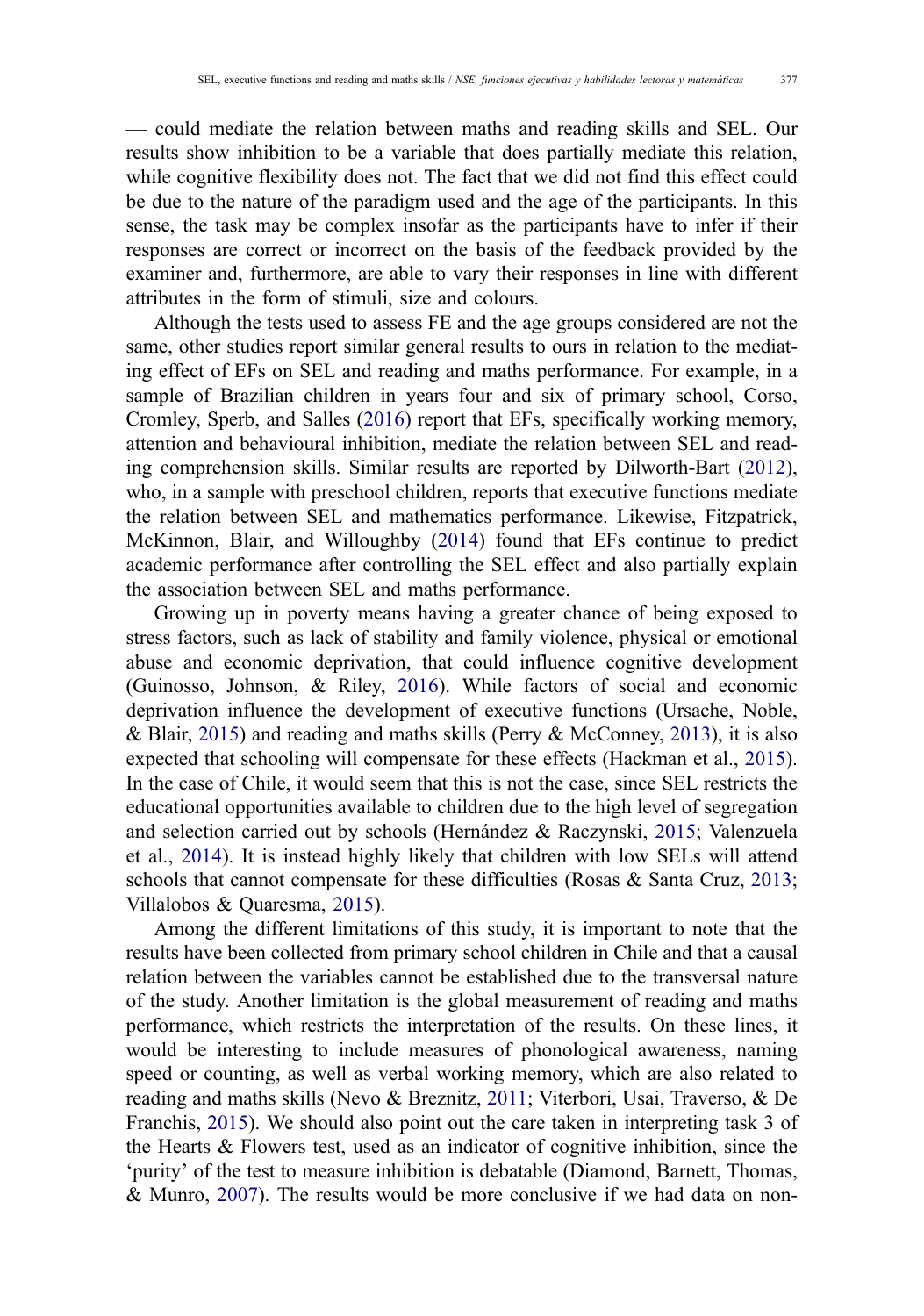<span id="page-10-0"></span>— could mediate the relation between maths and reading skills and SEL. Our results show inhibition to be a variable that does partially mediate this relation, while cognitive flexibility does not. The fact that we did not find this effect could be due to the nature of the paradigm used and the age of the participants. In this sense, the task may be complex insofar as the participants have to infer if their responses are correct or incorrect on the basis of the feedback provided by the examiner and, furthermore, are able to vary their responses in line with different attributes in the form of stimuli, size and colours.

Although the tests used to assess FE and the age groups considered are not the same, other studies report similar general results to ours in relation to the mediating effect of EFs on SEL and reading and maths performance. For example, in a sample of Brazilian children in years four and six of primary school, Corso, Cromley, Sperb, and Salles [\(2016](#page-22-0)) report that EFs, specifically working memory, attention and behavioural inhibition, mediate the relation between SEL and reading comprehension skills. Similar results are reported by Dilworth-Bart ([2012\)](#page-23-0), who, in a sample with preschool children, reports that executive functions mediate the relation between SEL and mathematics performance. Likewise, Fitzpatrick, McKinnon, Blair, and Willoughby ([2014\)](#page-23-0) found that EFs continue to predict academic performance after controlling the SEL effect and also partially explain the association between SEL and maths performance.

Growing up in poverty means having a greater chance of being exposed to stress factors, such as lack of stability and family violence, physical or emotional abuse and economic deprivation, that could influence cognitive development (Guinosso, Johnson, & Riley, [2016](#page-23-0)). While factors of social and economic deprivation influence the development of executive functions (Ursache, Noble, & Blair, [2015\)](#page-25-0) and reading and maths skills (Perry & McConney, [2013\)](#page-24-0), it is also expected that schooling will compensate for these effects (Hackman et al., [2015\)](#page-23-0). In the case of Chile, it would seem that this is not the case, since SEL restricts the educational opportunities available to children due to the high level of segregation and selection carried out by schools (Hernández & Raczynski, [2015;](#page-23-0) Valenzuela et al., [2014\)](#page-25-0). It is instead highly likely that children with low SELs will attend schools that cannot compensate for these difficulties (Rosas & Santa Cruz, [2013](#page-25-0); Villalobos & Quaresma, [2015\)](#page-25-0).

Among the different limitations of this study, it is important to note that the results have been collected from primary school children in Chile and that a causal relation between the variables cannot be established due to the transversal nature of the study. Another limitation is the global measurement of reading and maths performance, which restricts the interpretation of the results. On these lines, it would be interesting to include measures of phonological awareness, naming speed or counting, as well as verbal working memory, which are also related to reading and maths skills (Nevo & Breznitz, [2011;](#page-24-0) Viterbori, Usai, Traverso, & De Franchis, [2015\)](#page-25-0). We should also point out the care taken in interpreting task 3 of the Hearts & Flowers test, used as an indicator of cognitive inhibition, since the 'purity' of the test to measure inhibition is debatable (Diamond, Barnett, Thomas, & Munro, [2007\)](#page-23-0). The results would be more conclusive if we had data on non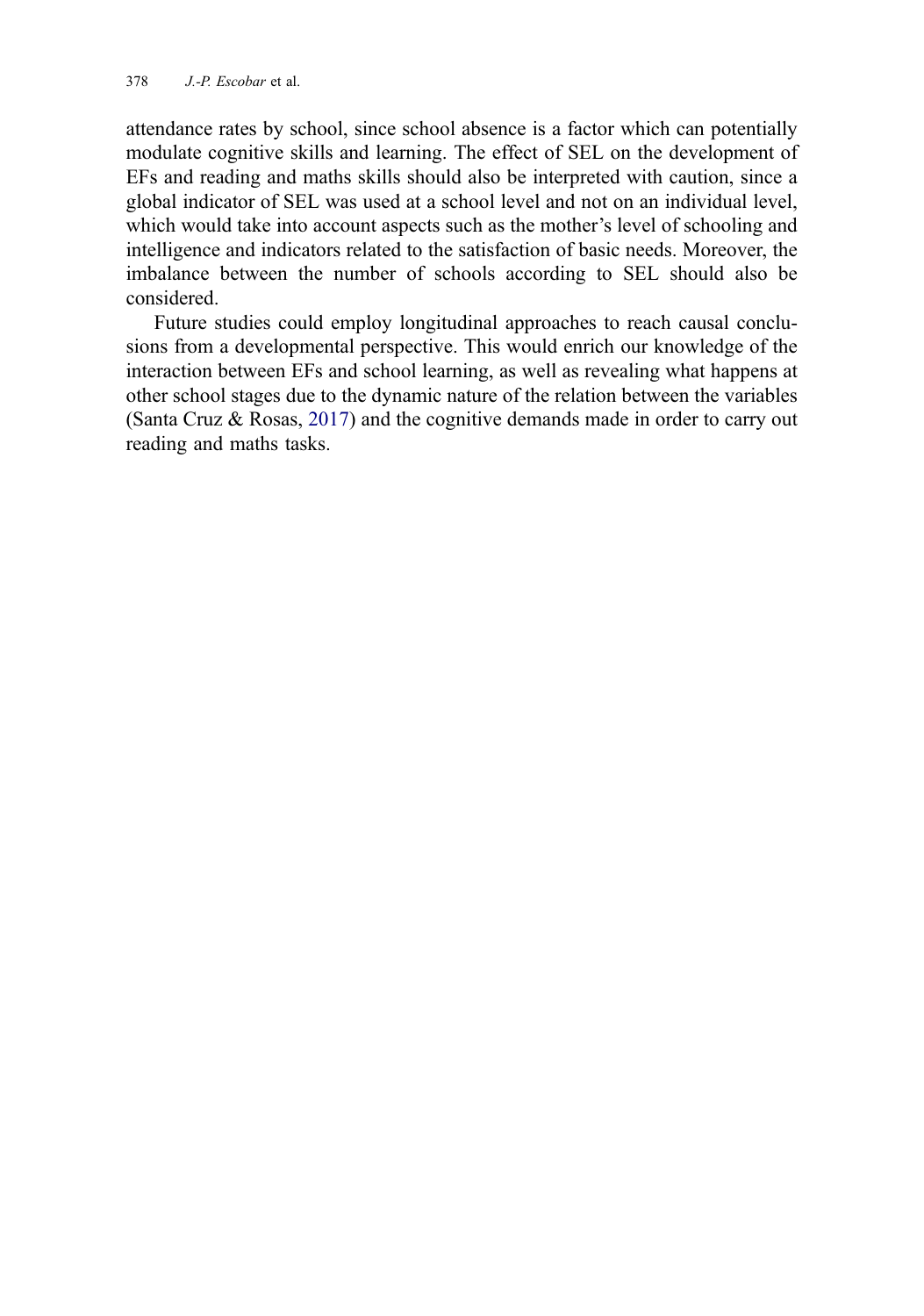attendance rates by school, since school absence is a factor which can potentially modulate cognitive skills and learning. The effect of SEL on the development of EFs and reading and maths skills should also be interpreted with caution, since a global indicator of SEL was used at a school level and not on an individual level, which would take into account aspects such as the mother's level of schooling and intelligence and indicators related to the satisfaction of basic needs. Moreover, the imbalance between the number of schools according to SEL should also be considered.

Future studies could employ longitudinal approaches to reach causal conclusions from a developmental perspective. This would enrich our knowledge of the interaction between EFs and school learning, as well as revealing what happens at other school stages due to the dynamic nature of the relation between the variables (Santa Cruz & Rosas, [2017\)](#page-25-0) and the cognitive demands made in order to carry out reading and maths tasks.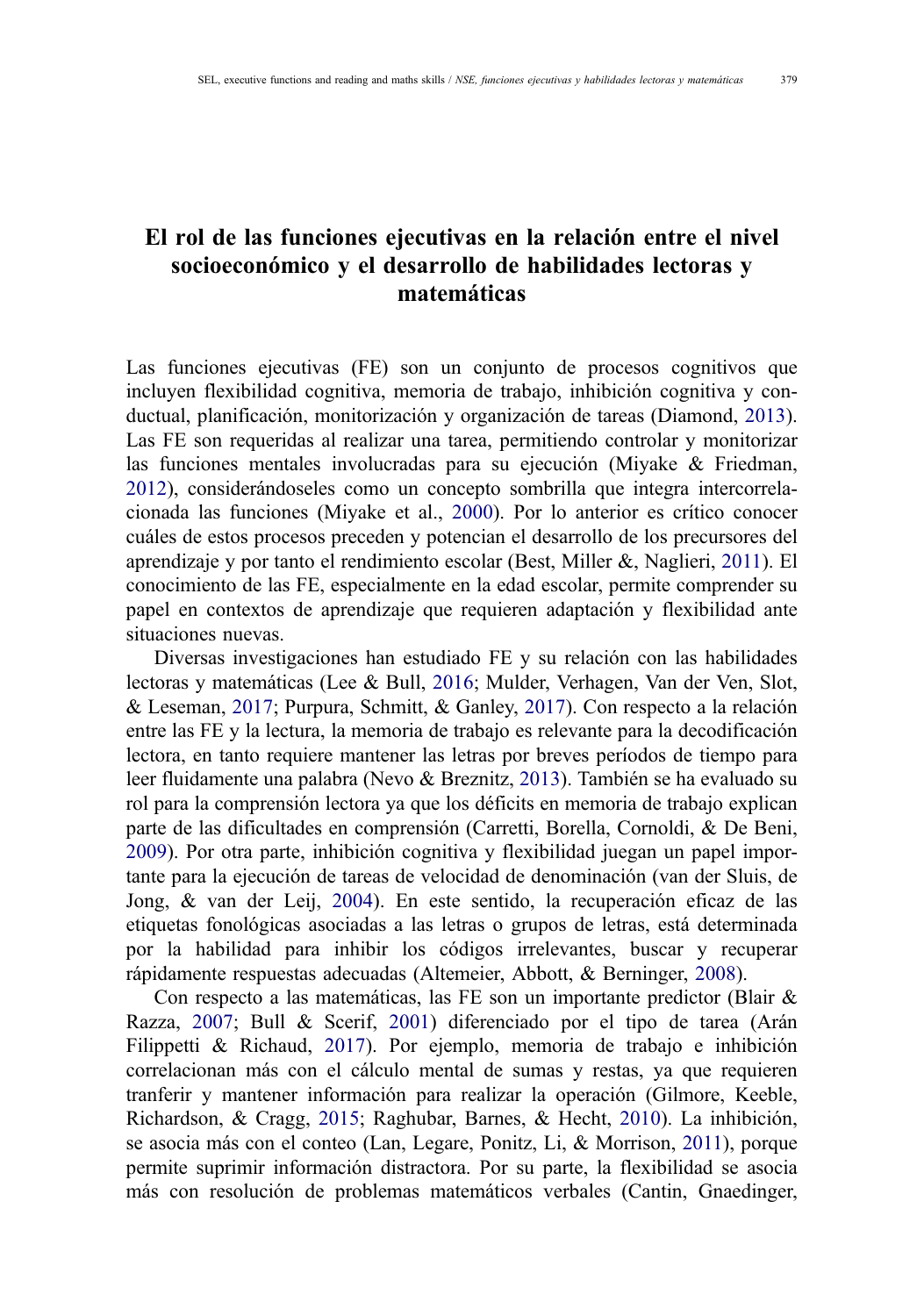## El rol de las funciones ejecutivas en la relación entre el nivel socioeconómico y el desarrollo de habilidades lectoras y matemáticas

Las funciones ejecutivas (FE) son un conjunto de procesos cognitivos que incluyen flexibilidad cognitiva, memoria de trabajo, inhibición cognitiva y conductual, planificación, monitorización y organización de tareas (Diamond, [2013\)](#page-23-0). Las FE son requeridas al realizar una tarea, permitiendo controlar y monitorizar las funciones mentales involucradas para su ejecución (Miyake & Friedman, [2012](#page-24-0)), considerándoseles como un concepto sombrilla que integra intercorrelacionada las funciones (Miyake et al., [2000](#page-24-0)). Por lo anterior es crítico conocer cuáles de estos procesos preceden y potencian el desarrollo de los precursores del aprendizaje y por tanto el rendimiento escolar (Best, Miller &, Naglieri, [2011](#page-22-0)). El conocimiento de las FE, especialmente en la edad escolar, permite comprender su papel en contextos de aprendizaje que requieren adaptación y flexibilidad ante situaciones nuevas.

Diversas investigaciones han estudiado FE y su relación con las habilidades lectoras y matemáticas (Lee & Bull, [2016;](#page-24-0) Mulder, Verhagen, Van der Ven, Slot, & Leseman, [2017;](#page-24-0) Purpura, Schmitt, & Ganley, [2017](#page-24-0)). Con respecto a la relación entre las FE y la lectura, la memoria de trabajo es relevante para la decodificación lectora, en tanto requiere mantener las letras por breves períodos de tiempo para leer fluidamente una palabra (Nevo & Breznitz, [2013](#page-24-0)). También se ha evaluado su rol para la comprensión lectora ya que los déficits en memoria de trabajo explican parte de las dificultades en comprensión (Carretti, Borella, Cornoldi, & De Beni, [2009](#page-22-0)). Por otra parte, inhibición cognitiva y flexibilidad juegan un papel importante para la ejecución de tareas de velocidad de denominación (van der Sluis, de Jong, & van der Leij, [2004](#page-25-0)). En este sentido, la recuperación eficaz de las etiquetas fonológicas asociadas a las letras o grupos de letras, está determinada por la habilidad para inhibir los códigos irrelevantes, buscar y recuperar rápidamente respuestas adecuadas (Altemeier, Abbott, & Berninger, [2008](#page-22-0)).

Con respecto a las matemáticas, las FE son un importante predictor (Blair & Razza, [2007;](#page-22-0) Bull & Scerif, [2001\)](#page-22-0) diferenciado por el tipo de tarea (Arán Filippetti & Richaud, [2017](#page-22-0)). Por ejemplo, memoria de trabajo e inhibición correlacionan más con el cálculo mental de sumas y restas, ya que requieren tranferir y mantener información para realizar la operación (Gilmore, Keeble, Richardson, & Cragg, [2015](#page-23-0); Raghubar, Barnes, & Hecht, [2010\)](#page-24-0). La inhibición, se asocia más con el conteo (Lan, Legare, Ponitz, Li, & Morrison, [2011](#page-23-0)), porque permite suprimir información distractora. Por su parte, la flexibilidad se asocia más con resolución de problemas matemáticos verbales (Cantin, Gnaedinger,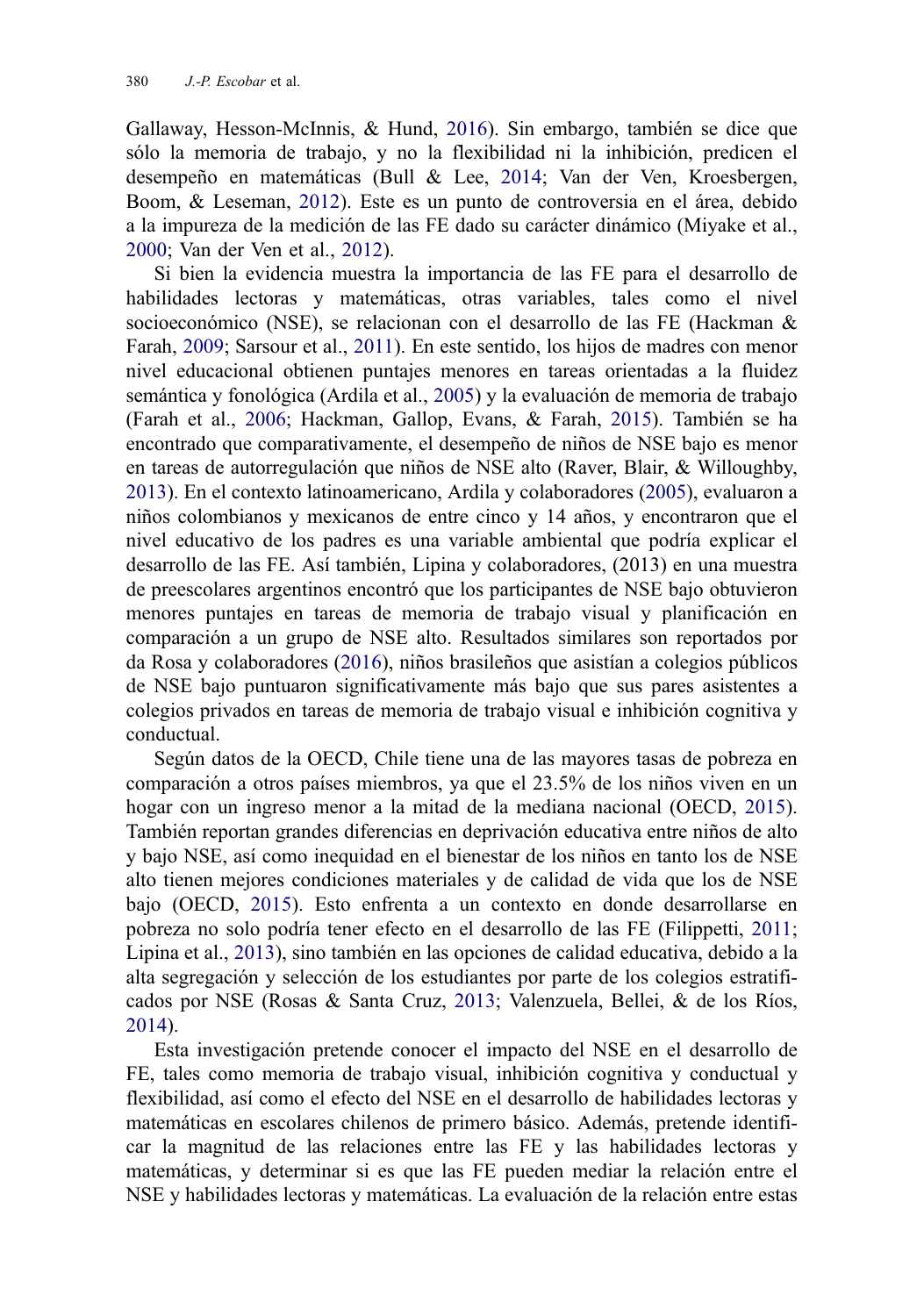Gallaway, Hesson-McInnis, & Hund, [2016](#page-22-0)). Sin embargo, también se dice que sólo la memoria de trabajo, y no la flexibilidad ni la inhibición, predicen el desempeño en matemáticas (Bull & Lee, [2014](#page-22-0); Van der Ven, Kroesbergen, Boom, & Leseman, [2012\)](#page-25-0). Este es un punto de controversia en el área, debido a la impureza de la medición de las FE dado su carácter dinámico (Miyake et al., [2000](#page-24-0); Van der Ven et al., [2012](#page-25-0)).

Si bien la evidencia muestra la importancia de las FE para el desarrollo de habilidades lectoras y matemáticas, otras variables, tales como el nivel socioeconómico (NSE), se relacionan con el desarrollo de las FE (Hackman & Farah, [2009;](#page-23-0) Sarsour et al., [2011](#page-25-0)). En este sentido, los hijos de madres con menor nivel educacional obtienen puntajes menores en tareas orientadas a la fluidez semántica y fonológica (Ardila et al., [2005](#page-22-0)) y la evaluación de memoria de trabajo (Farah et al., [2006;](#page-23-0) Hackman, Gallop, Evans, & Farah, [2015](#page-23-0)). También se ha encontrado que comparativamente, el desempeño de niños de NSE bajo es menor en tareas de autorregulación que niños de NSE alto (Raver, Blair, & Willoughby, [2013](#page-25-0)). En el contexto latinoamericano, Ardila y colaboradores ([2005\)](#page-22-0), evaluaron a niños colombianos y mexicanos de entre cinco y 14 años, y encontraron que el nivel educativo de los padres es una variable ambiental que podría explicar el desarrollo de las FE. Así también, Lipina y colaboradores, (2013) en una muestra de preescolares argentinos encontró que los participantes de NSE bajo obtuvieron menores puntajes en tareas de memoria de trabajo visual y planificación en comparación a un grupo de NSE alto. Resultados similares son reportados por da Rosa y colaboradores ([2016\)](#page-23-0), niños brasileños que asistían a colegios públicos de NSE bajo puntuaron significativamente más bajo que sus pares asistentes a colegios privados en tareas de memoria de trabajo visual e inhibición cognitiva y conductual.

Según datos de la OECD, Chile tiene una de las mayores tasas de pobreza en comparación a otros países miembros, ya que el 23.5% de los niños viven en un hogar con un ingreso menor a la mitad de la mediana nacional (OECD, [2015\)](#page-24-0). También reportan grandes diferencias en deprivación educativa entre niños de alto y bajo NSE, así como inequidad en el bienestar de los niños en tanto los de NSE alto tienen mejores condiciones materiales y de calidad de vida que los de NSE bajo (OECD, [2015\)](#page-24-0). Esto enfrenta a un contexto en donde desarrollarse en pobreza no solo podría tener efecto en el desarrollo de las FE (Filippetti, [2011](#page-23-0); Lipina et al., [2013\)](#page-24-0), sino también en las opciones de calidad educativa, debido a la alta segregación y selección de los estudiantes por parte de los colegios estratificados por NSE (Rosas & Santa Cruz, [2013;](#page-25-0) Valenzuela, Bellei, & de los Ríos, [2014](#page-25-0)).

Esta investigación pretende conocer el impacto del NSE en el desarrollo de FE, tales como memoria de trabajo visual, inhibición cognitiva y conductual y flexibilidad, así como el efecto del NSE en el desarrollo de habilidades lectoras y matemáticas en escolares chilenos de primero básico. Además, pretende identificar la magnitud de las relaciones entre las FE y las habilidades lectoras y matemáticas, y determinar si es que las FE pueden mediar la relación entre el NSE y habilidades lectoras y matemáticas. La evaluación de la relación entre estas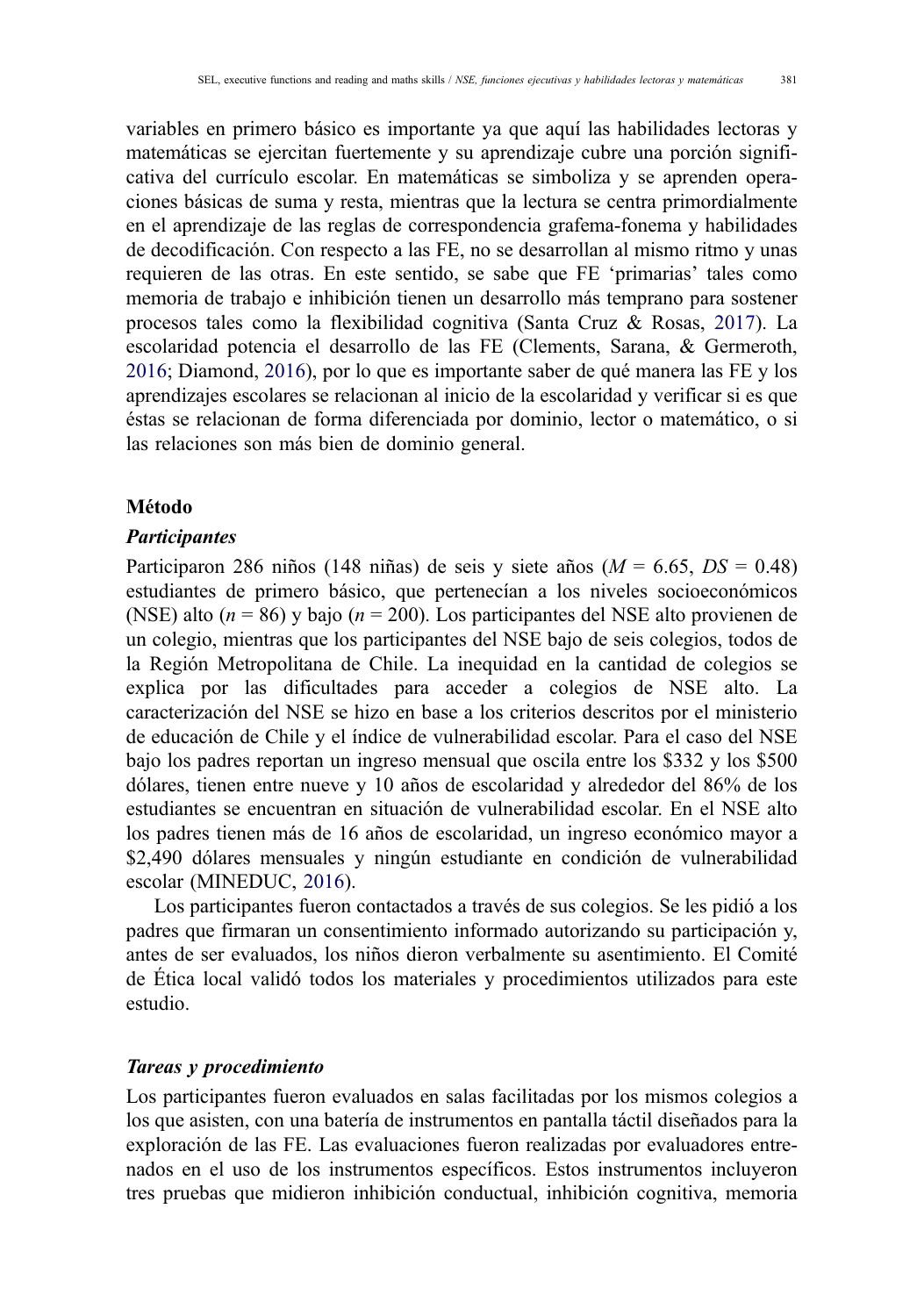variables en primero básico es importante ya que aquí las habilidades lectoras y matemáticas se ejercitan fuertemente y su aprendizaje cubre una porción significativa del currículo escolar. En matemáticas se simboliza y se aprenden operaciones básicas de suma y resta, mientras que la lectura se centra primordialmente en el aprendizaje de las reglas de correspondencia grafema-fonema y habilidades de decodificación. Con respecto a las FE, no se desarrollan al mismo ritmo y unas requieren de las otras. En este sentido, se sabe que FE 'primarias' tales como memoria de trabajo e inhibición tienen un desarrollo más temprano para sostener procesos tales como la flexibilidad cognitiva (Santa Cruz & Rosas, [2017](#page-25-0)). La escolaridad potencia el desarrollo de las FE (Clements, Sarana, & Germeroth, [2016](#page-22-0); Diamond, [2016](#page-23-0)), por lo que es importante saber de qué manera las FE y los aprendizajes escolares se relacionan al inicio de la escolaridad y verificar si es que éstas se relacionan de forma diferenciada por dominio, lector o matemático, o si las relaciones son más bien de dominio general.

## Método

#### Participantes

Participaron 286 niños (148 niñas) de seis y siete años ( $M = 6.65$ ,  $DS = 0.48$ ) estudiantes de primero básico, que pertenecían a los niveles socioeconómicos (NSE) alto  $(n = 86)$  y bajo  $(n = 200)$ . Los participantes del NSE alto provienen de un colegio, mientras que los participantes del NSE bajo de seis colegios, todos de la Región Metropolitana de Chile. La inequidad en la cantidad de colegios se explica por las dificultades para acceder a colegios de NSE alto. La caracterización del NSE se hizo en base a los criterios descritos por el ministerio de educación de Chile y el índice de vulnerabilidad escolar. Para el caso del NSE bajo los padres reportan un ingreso mensual que oscila entre los \$332 y los \$500 dólares, tienen entre nueve y 10 años de escolaridad y alrededor del 86% de los estudiantes se encuentran en situación de vulnerabilidad escolar. En el NSE alto los padres tienen más de 16 años de escolaridad, un ingreso económico mayor a \$2,490 dólares mensuales y ningún estudiante en condición de vulnerabilidad escolar (MINEDUC, [2016\)](#page-24-0).

Los participantes fueron contactados a través de sus colegios. Se les pidió a los padres que firmaran un consentimiento informado autorizando su participación y, antes de ser evaluados, los niños dieron verbalmente su asentimiento. El Comité de Ética local validó todos los materiales y procedimientos utilizados para este estudio.

#### Tareas y procedimiento

Los participantes fueron evaluados en salas facilitadas por los mismos colegios a los que asisten, con una batería de instrumentos en pantalla táctil diseñados para la exploración de las FE. Las evaluaciones fueron realizadas por evaluadores entrenados en el uso de los instrumentos específicos. Estos instrumentos incluyeron tres pruebas que midieron inhibición conductual, inhibición cognitiva, memoria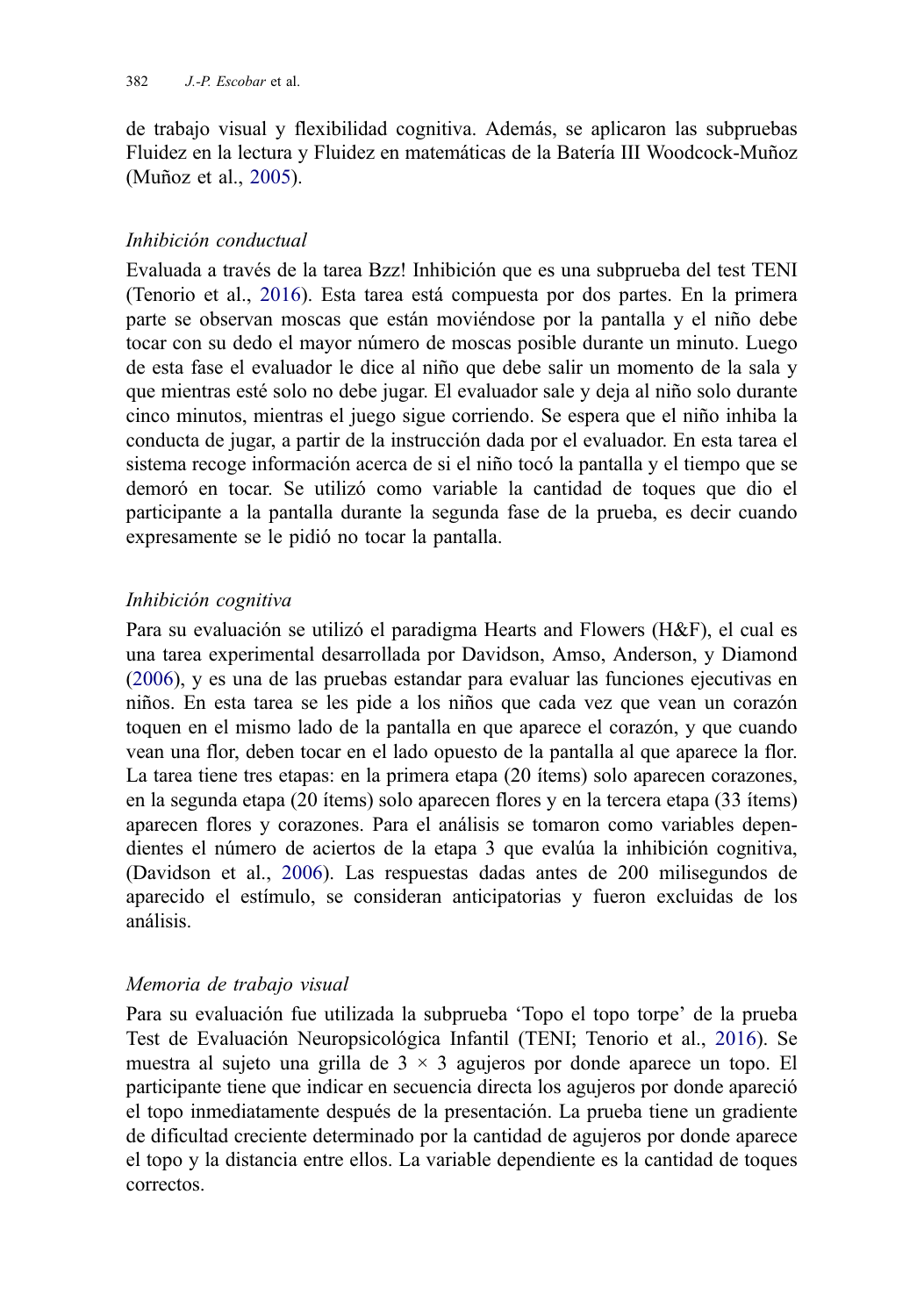de trabajo visual y flexibilidad cognitiva. Además, se aplicaron las subpruebas Fluidez en la lectura y Fluidez en matemáticas de la Batería III Woodcock-Muñoz (Muñoz et al., [2005](#page-24-0)).

## Inhibición conductual

Evaluada a través de la tarea Bzz! Inhibición que es una subprueba del test TENI (Tenorio et al., [2016\)](#page-25-0). Esta tarea está compuesta por dos partes. En la primera parte se observan moscas que están moviéndose por la pantalla y el niño debe tocar con su dedo el mayor número de moscas posible durante un minuto. Luego de esta fase el evaluador le dice al niño que debe salir un momento de la sala y que mientras esté solo no debe jugar. El evaluador sale y deja al niño solo durante cinco minutos, mientras el juego sigue corriendo. Se espera que el niño inhiba la conducta de jugar, a partir de la instrucción dada por el evaluador. En esta tarea el sistema recoge información acerca de si el niño tocó la pantalla y el tiempo que se demoró en tocar. Se utilizó como variable la cantidad de toques que dio el participante a la pantalla durante la segunda fase de la prueba, es decir cuando expresamente se le pidió no tocar la pantalla.

## Inhibición cognitiva

Para su evaluación se utilizó el paradigma Hearts and Flowers (H&F), el cual es una tarea experimental desarrollada por Davidson, Amso, Anderson, y Diamond ([2006\)](#page-23-0), y es una de las pruebas estandar para evaluar las funciones ejecutivas en niños. En esta tarea se les pide a los niños que cada vez que vean un corazón toquen en el mismo lado de la pantalla en que aparece el corazón, y que cuando vean una flor, deben tocar en el lado opuesto de la pantalla al que aparece la flor. La tarea tiene tres etapas: en la primera etapa (20 ítems) solo aparecen corazones, en la segunda etapa (20 ítems) solo aparecen flores y en la tercera etapa (33 ítems) aparecen flores y corazones. Para el análisis se tomaron como variables dependientes el número de aciertos de la etapa 3 que evalúa la inhibición cognitiva, (Davidson et al., [2006](#page-23-0)). Las respuestas dadas antes de 200 milisegundos de aparecido el estímulo, se consideran anticipatorias y fueron excluidas de los análisis.

## Memoria de trabajo visual

Para su evaluación fue utilizada la subprueba 'Topo el topo torpe' de la prueba Test de Evaluación Neuropsicológica Infantil (TENI; Tenorio et al., [2016\)](#page-25-0). Se muestra al sujeto una grilla de  $3 \times 3$  agujeros por donde aparece un topo. El participante tiene que indicar en secuencia directa los agujeros por donde apareció el topo inmediatamente después de la presentación. La prueba tiene un gradiente de dificultad creciente determinado por la cantidad de agujeros por donde aparece el topo y la distancia entre ellos. La variable dependiente es la cantidad de toques correctos.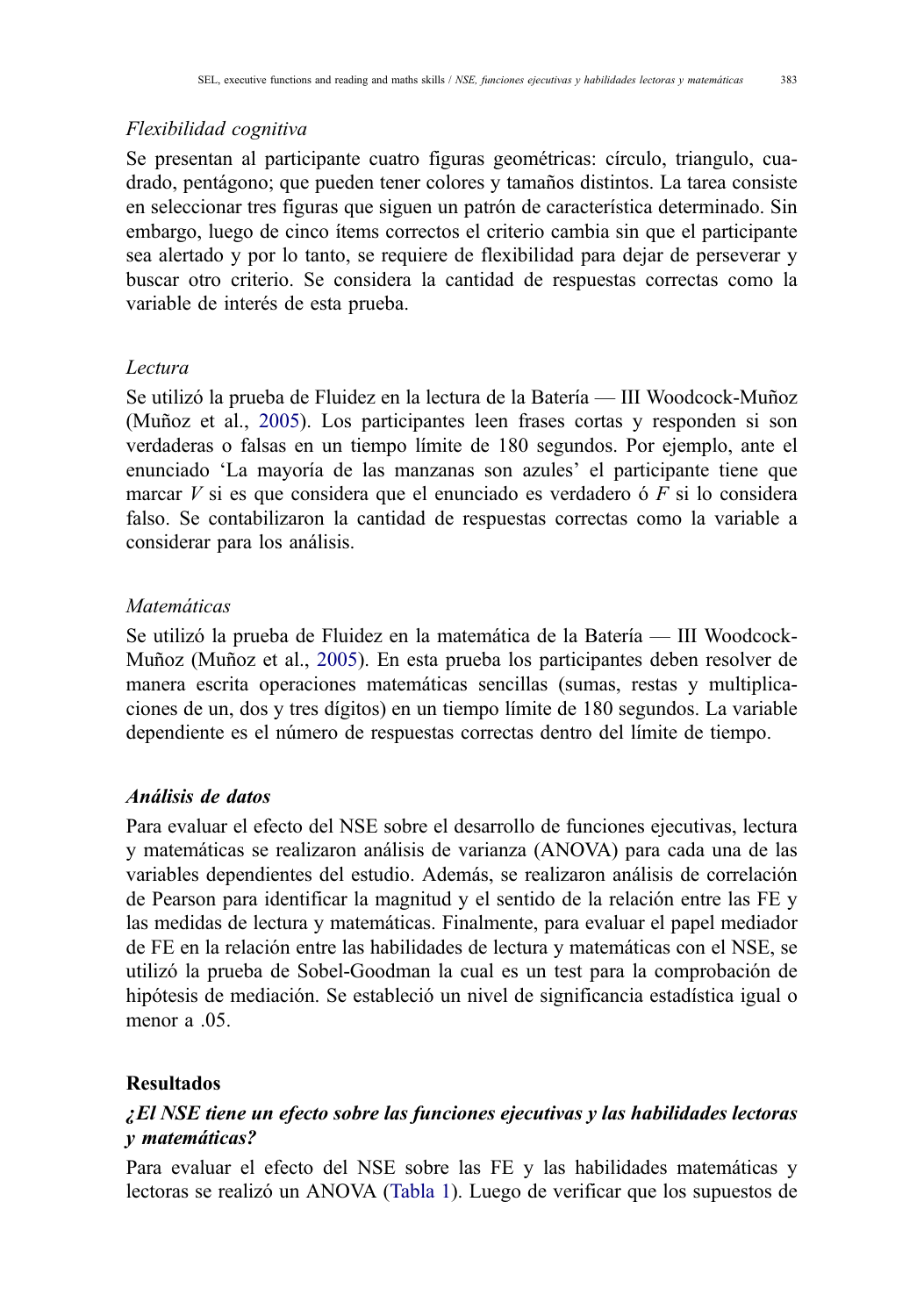## Flexibilidad cognitiva

Se presentan al participante cuatro figuras geométricas: círculo, triangulo, cuadrado, pentágono; que pueden tener colores y tamaños distintos. La tarea consiste en seleccionar tres figuras que siguen un patrón de característica determinado. Sin embargo, luego de cinco ítems correctos el criterio cambia sin que el participante sea alertado y por lo tanto, se requiere de flexibilidad para dejar de perseverar y buscar otro criterio. Se considera la cantidad de respuestas correctas como la variable de interés de esta prueba.

## Lectura

Se utilizó la prueba de Fluidez en la lectura de la Batería — III Woodcock-Muñoz (Muñoz et al., [2005](#page-24-0)). Los participantes leen frases cortas y responden si son verdaderas o falsas en un tiempo límite de 180 segundos. Por ejemplo, ante el enunciado 'La mayoría de las manzanas son azules' el participante tiene que marcar  $V$  si es que considera que el enunciado es verdadero ó  $F$  si lo considera falso. Se contabilizaron la cantidad de respuestas correctas como la variable a considerar para los análisis.

## Matemáticas

Se utilizó la prueba de Fluidez en la matemática de la Batería — III Woodcock-Muñoz (Muñoz et al., [2005](#page-24-0)). En esta prueba los participantes deben resolver de manera escrita operaciones matemáticas sencillas (sumas, restas y multiplicaciones de un, dos y tres dígitos) en un tiempo límite de 180 segundos. La variable dependiente es el número de respuestas correctas dentro del límite de tiempo.

## Análisis de datos

Para evaluar el efecto del NSE sobre el desarrollo de funciones ejecutivas, lectura y matemáticas se realizaron análisis de varianza (ANOVA) para cada una de las variables dependientes del estudio. Además, se realizaron análisis de correlación de Pearson para identificar la magnitud y el sentido de la relación entre las FE y las medidas de lectura y matemáticas. Finalmente, para evaluar el papel mediador de FE en la relación entre las habilidades de lectura y matemáticas con el NSE, se utilizó la prueba de Sobel-Goodman la cual es un test para la comprobación de hipótesis de mediación. Se estableció un nivel de significancia estadística igual o menor a .05.

#### Resultados

## ¿El NSE tiene un efecto sobre las funciones ejecutivas y las habilidades lectoras y matemáticas?

Para evaluar el efecto del NSE sobre las FE y las habilidades matemáticas y lectoras se realizó un ANOVA [\(Tabla 1\)](#page-17-0). Luego de verificar que los supuestos de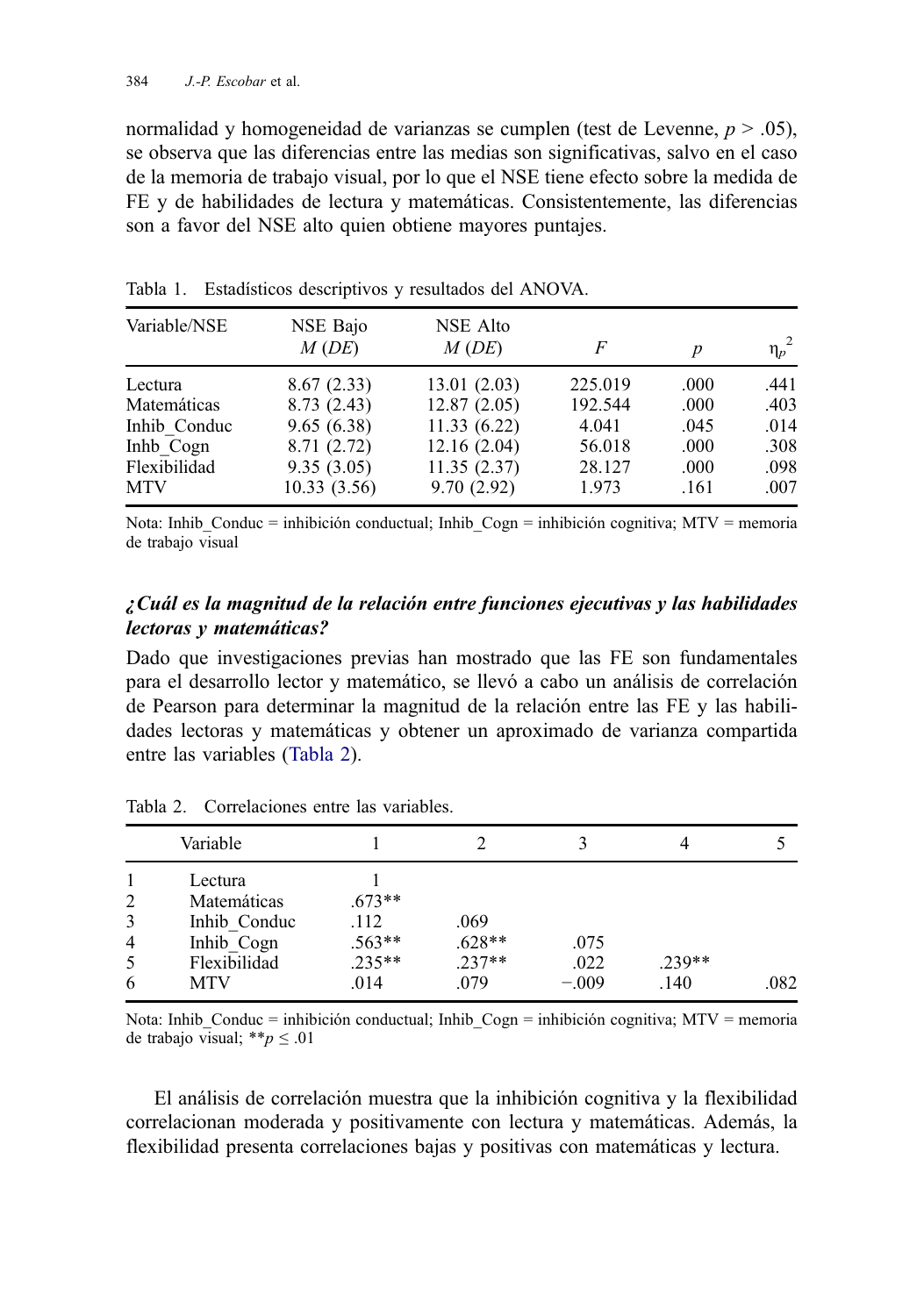<span id="page-17-0"></span>normalidad y homogeneidad de varianzas se cumplen (test de Levenne,  $p > .05$ ), se observa que las diferencias entre las medias son significativas, salvo en el caso de la memoria de trabajo visual, por lo que el NSE tiene efecto sobre la medida de FE y de habilidades de lectura y matemáticas. Consistentemente, las diferencias son a favor del NSE alto quien obtiene mayores puntajes.

| Variable/NSE | NSE Bajo<br>M(DE) | NSE Alto<br>M(DE) | F       | D    | $\eta_p^2$ |
|--------------|-------------------|-------------------|---------|------|------------|
| Lectura      | 8.67(2.33)        | 13.01(2.03)       | 225.019 | .000 | .441       |
| Matemáticas  | 8.73(2.43)        | 12.87(2.05)       | 192.544 | .000 | .403       |
| Inhib Conduc | 9.65(6.38)        | 11.33(6.22)       | 4.041   | .045 | .014       |
| Inhb Cogn    | 8.71 (2.72)       | 12.16(2.04)       | 56.018  | .000 | .308       |
| Flexibilidad | 9.35(3.05)        | 11.35(2.37)       | 28.127  | .000 | .098       |
| <b>MTV</b>   | 10.33(3.56)       | 9.70(2.92)        | 1.973   | .161 | .007       |

Tabla 1. Estadísticos descriptivos y resultados del ANOVA.

Nota: Inhib Conduc = inhibición conductual; Inhib  $Cogen = inhibitor$ inhibición cognitiva; MTV = memoria de trabajo visual

## ¿Cuál es la magnitud de la relación entre funciones ejecutivas y las habilidades lectoras y matemáticas?

Dado que investigaciones previas han mostrado que las FE son fundamentales para el desarrollo lector y matemático, se llevó a cabo un análisis de correlación de Pearson para determinar la magnitud de la relación entre las FE y las habilidades lectoras y matemáticas y obtener un aproximado de varianza compartida entre las variables (Tabla 2).

|                | Variable     |          |          |         |          |      |
|----------------|--------------|----------|----------|---------|----------|------|
|                | Lectura      |          |          |         |          |      |
| 2              | Matemáticas  | $.673**$ |          |         |          |      |
| 3              | Inhib Conduc | .112     | .069     |         |          |      |
| $\overline{4}$ | Inhib Cogn   | $.563**$ | $.628**$ | .075    |          |      |
| 5              | Flexibilidad | $.235**$ | $.237**$ | .022    | $.239**$ |      |
| 6              | <b>MTV</b>   | .014     | .079     | $-.009$ | .140     | .082 |

Tabla 2. Correlaciones entre las variables.

Nota: Inhib\_Conduc = inhibición conductual; Inhib\_Cogn = inhibición cognitiva; MTV = memoria de trabajo visual; \*\*p  $\leq .01$ 

El análisis de correlación muestra que la inhibición cognitiva y la flexibilidad correlacionan moderada y positivamente con lectura y matemáticas. Además, la flexibilidad presenta correlaciones bajas y positivas con matemáticas y lectura.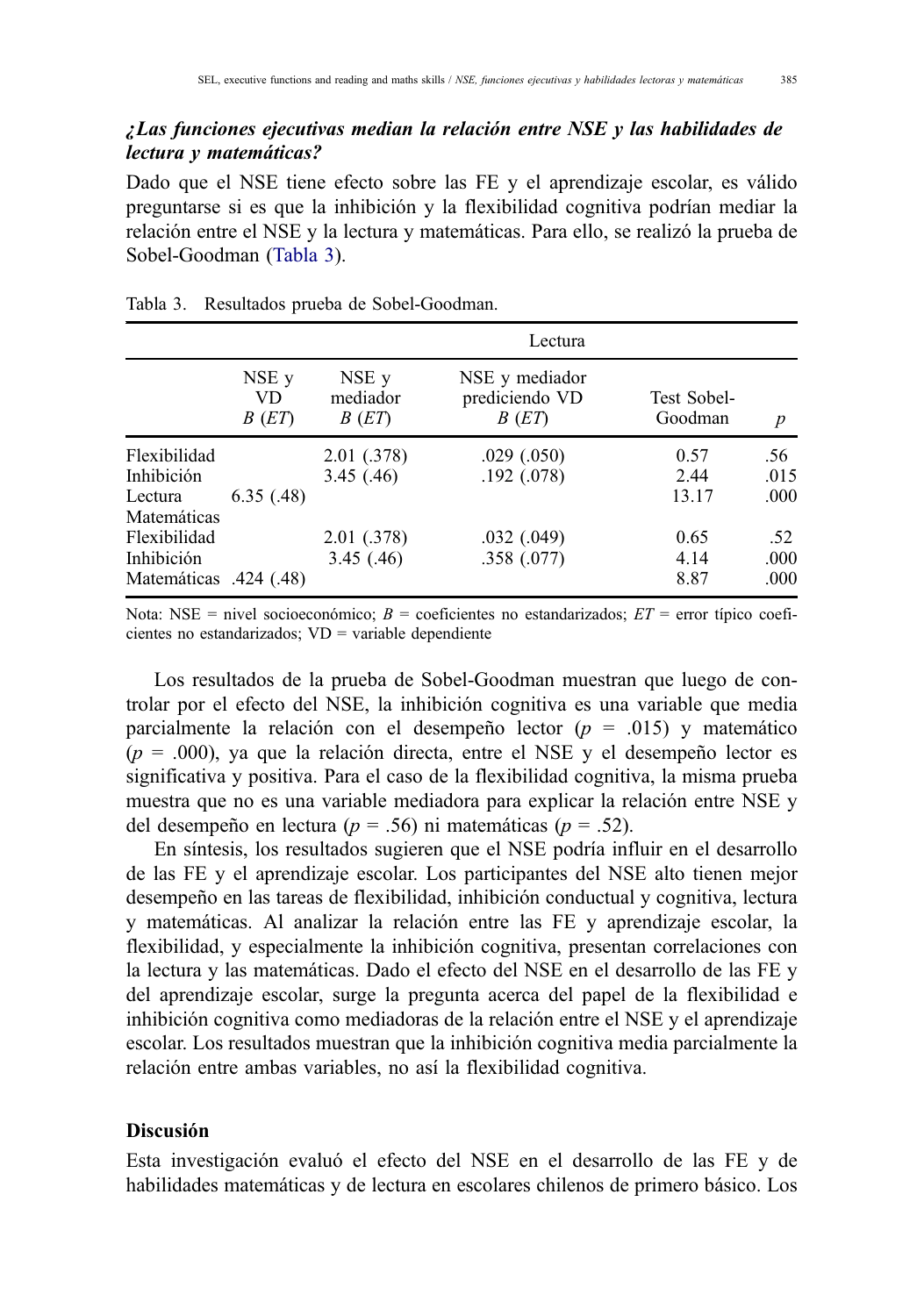## ¿Las funciones ejecutivas median la relación entre NSE y las habilidades de lectura y matemáticas?

Dado que el NSE tiene efecto sobre las FE y el aprendizaje escolar, es válido preguntarse si es que la inhibición y la flexibilidad cognitiva podrían mediar la relación entre el NSE y la lectura y matemáticas. Para ello, se realizó la prueba de Sobel-Goodman (Tabla 3).

|                        | Lectura               |                            |                                           |                        |                  |
|------------------------|-----------------------|----------------------------|-------------------------------------------|------------------------|------------------|
|                        | NSE y<br>VD.<br>B(ET) | NSE y<br>mediador<br>B(ET) | NSE y mediador<br>prediciendo VD<br>B(ET) | Test Sobel-<br>Goodman | $\boldsymbol{p}$ |
| Flexibilidad           |                       | 2.01(0.378)                | .029(.050)                                | 0.57                   | .56              |
| Inhibición             |                       | 3.45(0.46)                 | .192(.078)                                | 2.44                   | .015             |
| Lectura                | 6.35(0.48)            |                            |                                           | 13.17                  | .000             |
| Matemáticas            |                       |                            |                                           |                        |                  |
| Flexibilidad           |                       | 2.01(0.378)                | .032(.049)                                | 0.65                   | .52              |
| Inhibición             |                       | 3.45(.46)                  | .358(.077)                                | 4.14                   | .000             |
| Matemáticas .424 (.48) |                       |                            |                                           | 8.87                   | .000             |

Tabla 3. Resultados prueba de Sobel-Goodman.

Nota: NSE = nivel socioeconómico;  $B =$  coeficientes no estandarizados;  $ET =$  error típico coeficientes no estandarizados; VD = variable dependiente

Los resultados de la prueba de Sobel-Goodman muestran que luego de controlar por el efecto del NSE, la inhibición cognitiva es una variable que media parcialmente la relación con el desempeño lector ( $p = .015$ ) y matemático  $(p = .000)$ , ya que la relación directa, entre el NSE y el desempeño lector es significativa y positiva. Para el caso de la flexibilidad cognitiva, la misma prueba muestra que no es una variable mediadora para explicar la relación entre NSE y del desempeño en lectura ( $p = .56$ ) ni matemáticas ( $p = .52$ ).

En síntesis, los resultados sugieren que el NSE podría influir en el desarrollo de las FE y el aprendizaje escolar. Los participantes del NSE alto tienen mejor desempeño en las tareas de flexibilidad, inhibición conductual y cognitiva, lectura y matemáticas. Al analizar la relación entre las FE y aprendizaje escolar, la flexibilidad, y especialmente la inhibición cognitiva, presentan correlaciones con la lectura y las matemáticas. Dado el efecto del NSE en el desarrollo de las FE y del aprendizaje escolar, surge la pregunta acerca del papel de la flexibilidad e inhibición cognitiva como mediadoras de la relación entre el NSE y el aprendizaje escolar. Los resultados muestran que la inhibición cognitiva media parcialmente la relación entre ambas variables, no así la flexibilidad cognitiva.

#### Discusión

Esta investigación evaluó el efecto del NSE en el desarrollo de las FE y de habilidades matemáticas y de lectura en escolares chilenos de primero básico. Los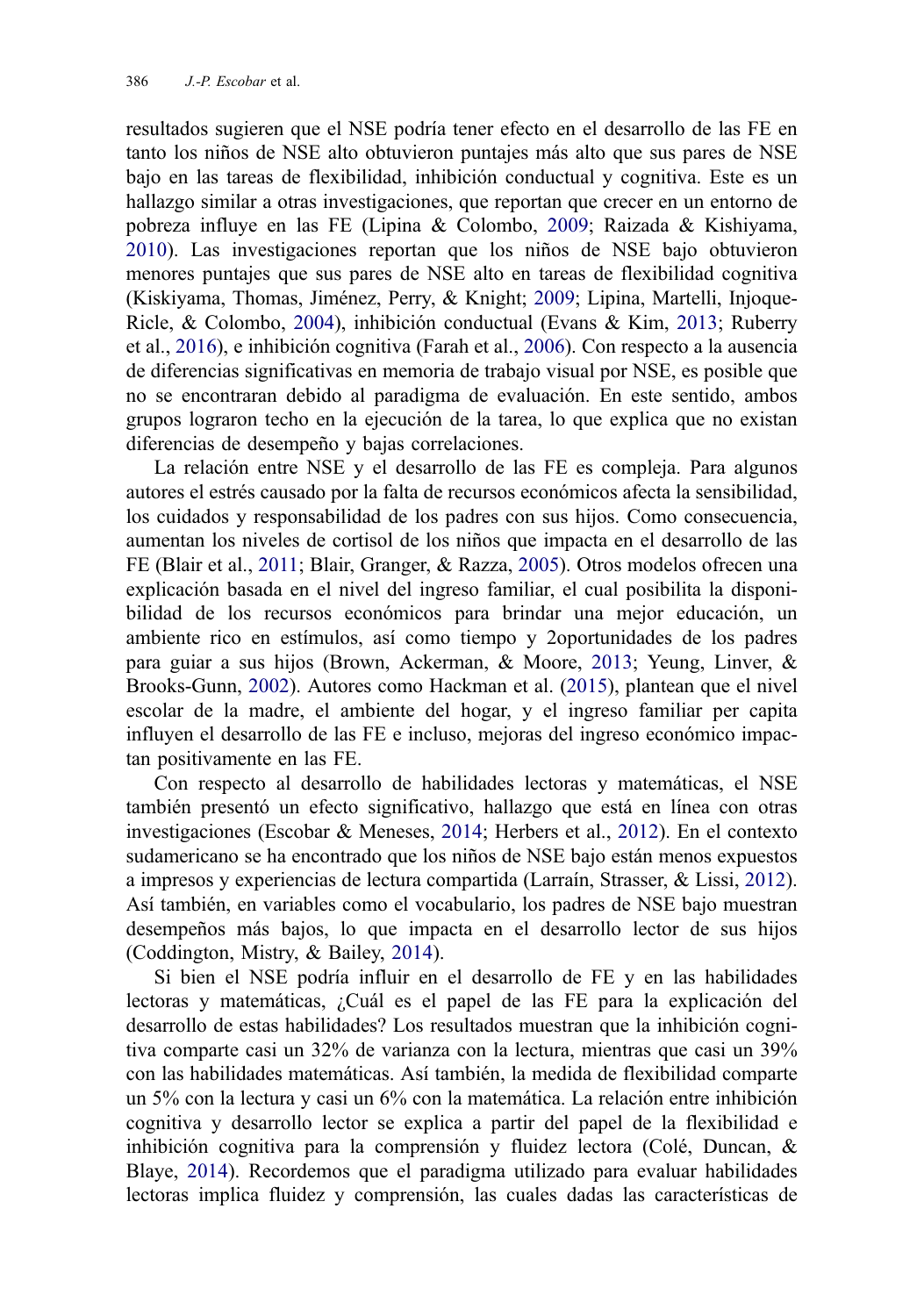<span id="page-19-0"></span>resultados sugieren que el NSE podría tener efecto en el desarrollo de las FE en tanto los niños de NSE alto obtuvieron puntajes más alto que sus pares de NSE bajo en las tareas de flexibilidad, inhibición conductual y cognitiva. Este es un hallazgo similar a otras investigaciones, que reportan que crecer en un entorno de pobreza influye en las FE (Lipina & Colombo, [2009](#page-24-0); Raizada & Kishiyama, [2010](#page-24-0)). Las investigaciones reportan que los niños de NSE bajo obtuvieron menores puntajes que sus pares de NSE alto en tareas de flexibilidad cognitiva (Kiskiyama, Thomas, Jiménez, Perry, & Knight; [2009](#page-23-0); Lipina, Martelli, Injoque-Ricle, & Colombo, [2004\)](#page-24-0), inhibición conductual (Evans & Kim, [2013](#page-23-0); Ruberry et al., [2016\)](#page-25-0), e inhibición cognitiva (Farah et al., [2006\)](#page-23-0). Con respecto a la ausencia de diferencias significativas en memoria de trabajo visual por NSE, es posible que no se encontraran debido al paradigma de evaluación. En este sentido, ambos grupos lograron techo en la ejecución de la tarea, lo que explica que no existan diferencias de desempeño y bajas correlaciones.

La relación entre NSE y el desarrollo de las FE es compleja. Para algunos autores el estrés causado por la falta de recursos económicos afecta la sensibilidad, los cuidados y responsabilidad de los padres con sus hijos. Como consecuencia, aumentan los niveles de cortisol de los niños que impacta en el desarrollo de las FE (Blair et al., [2011;](#page-22-0) Blair, Granger, & Razza, [2005\)](#page-22-0). Otros modelos ofrecen una explicación basada en el nivel del ingreso familiar, el cual posibilita la disponibilidad de los recursos económicos para brindar una mejor educación, un ambiente rico en estímulos, así como tiempo y 2oportunidades de los padres para guiar a sus hijos (Brown, Ackerman, & Moore, [2013;](#page-22-0) Yeung, Linver, & Brooks-Gunn, [2002\)](#page-25-0). Autores como Hackman et al. ([2015\)](#page-23-0), plantean que el nivel escolar de la madre, el ambiente del hogar, y el ingreso familiar per capita influyen el desarrollo de las FE e incluso, mejoras del ingreso económico impactan positivamente en las FE.

Con respecto al desarrollo de habilidades lectoras y matemáticas, el NSE también presentó un efecto significativo, hallazgo que está en línea con otras investigaciones (Escobar & Meneses, [2014;](#page-23-0) Herbers et al., [2012\)](#page-23-0). En el contexto sudamericano se ha encontrado que los niños de NSE bajo están menos expuestos a impresos y experiencias de lectura compartida (Larraín, Strasser, & Lissi, [2012\)](#page-24-0). Así también, en variables como el vocabulario, los padres de NSE bajo muestran desempeños más bajos, lo que impacta en el desarrollo lector de sus hijos (Coddington, Mistry, & Bailey, [2014](#page-22-0)).

Si bien el NSE podría influir en el desarrollo de FE y en las habilidades lectoras y matemáticas, ¿Cuál es el papel de las FE para la explicación del desarrollo de estas habilidades? Los resultados muestran que la inhibición cognitiva comparte casi un 32% de varianza con la lectura, mientras que casi un 39% con las habilidades matemáticas. Así también, la medida de flexibilidad comparte un 5% con la lectura y casi un 6% con la matemática. La relación entre inhibición cognitiva y desarrollo lector se explica a partir del papel de la flexibilidad e inhibición cognitiva para la comprensión y fluidez lectora (Colé, Duncan, & Blaye, [2014\)](#page-22-0). Recordemos que el paradigma utilizado para evaluar habilidades lectoras implica fluidez y comprensión, las cuales dadas las características de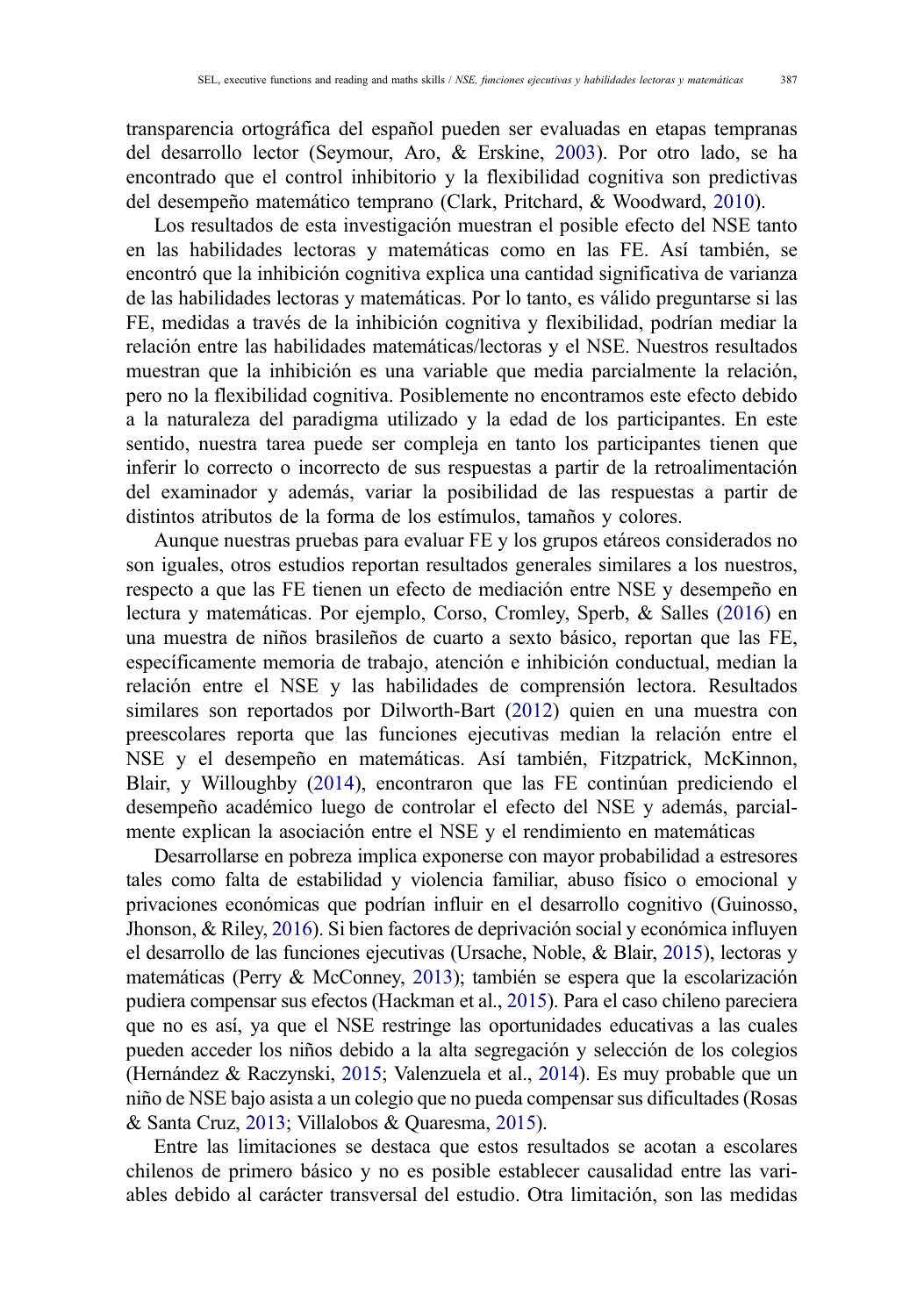transparencia ortográfica del español pueden ser evaluadas en etapas tempranas del desarrollo lector (Seymour, Aro, & Erskine, [2003](#page-25-0)). Por otro lado, se ha encontrado que el control inhibitorio y la flexibilidad cognitiva son predictivas del desempeño matemático temprano (Clark, Pritchard, & Woodward, [2010\)](#page-22-0).

Los resultados de esta investigación muestran el posible efecto del NSE tanto en las habilidades lectoras y matemáticas como en las FE. Así también, se encontró que la inhibición cognitiva explica una cantidad significativa de varianza de las habilidades lectoras y matemáticas. Por lo tanto, es válido preguntarse si las FE, medidas a través de la inhibición cognitiva y flexibilidad, podrían mediar la relación entre las habilidades matemáticas/lectoras y el NSE. Nuestros resultados muestran que la inhibición es una variable que media parcialmente la relación, pero no la flexibilidad cognitiva. Posiblemente no encontramos este efecto debido a la naturaleza del paradigma utilizado y la edad de los participantes. En este sentido, nuestra tarea puede ser compleja en tanto los participantes tienen que inferir lo correcto o incorrecto de sus respuestas a partir de la retroalimentación del examinador y además, variar la posibilidad de las respuestas a partir de distintos atributos de la forma de los estímulos, tamaños y colores.

Aunque nuestras pruebas para evaluar FE y los grupos etáreos considerados no son iguales, otros estudios reportan resultados generales similares a los nuestros, respecto a que las FE tienen un efecto de mediación entre NSE y desempeño en lectura y matemáticas. Por ejemplo, Corso, Cromley, Sperb, & Salles [\(2016](#page-22-0)) en una muestra de niños brasileños de cuarto a sexto básico, reportan que las FE, específicamente memoria de trabajo, atención e inhibición conductual, median la relación entre el NSE y las habilidades de comprensión lectora. Resultados similares son reportados por Dilworth-Bart [\(2012](#page-23-0)) quien en una muestra con preescolares reporta que las funciones ejecutivas median la relación entre el NSE y el desempeño en matemáticas. Así también, Fitzpatrick, McKinnon, Blair, y Willoughby [\(2014](#page-23-0)), encontraron que las FE continúan prediciendo el desempeño académico luego de controlar el efecto del NSE y además, parcialmente explican la asociación entre el NSE y el rendimiento en matemáticas

Desarrollarse en pobreza implica exponerse con mayor probabilidad a estresores tales como falta de estabilidad y violencia familiar, abuso físico o emocional y privaciones económicas que podrían influir en el desarrollo cognitivo (Guinosso, Jhonson, & Riley, [2016\)](#page-23-0). Si bien factores de deprivación social y económica influyen el desarrollo de las funciones ejecutivas (Ursache, Noble, & Blair, [2015\)](#page-25-0), lectoras y matemáticas (Perry & McConney, [2013\)](#page-24-0); también se espera que la escolarización pudiera compensar sus efectos (Hackman et al., [2015](#page-23-0)). Para el caso chileno pareciera que no es así, ya que el NSE restringe las oportunidades educativas a las cuales pueden acceder los niños debido a la alta segregación y selección de los colegios (Hernández & Raczynski, [2015;](#page-23-0) Valenzuela et al., [2014](#page-25-0)). Es muy probable que un niño de NSE bajo asista a un colegio que no pueda compensar sus dificultades (Rosas & Santa Cruz, [2013;](#page-25-0) Villalobos & Quaresma, [2015](#page-25-0)).

Entre las limitaciones se destaca que estos resultados se acotan a escolares chilenos de primero básico y no es posible establecer causalidad entre las variables debido al carácter transversal del estudio. Otra limitación, son las medidas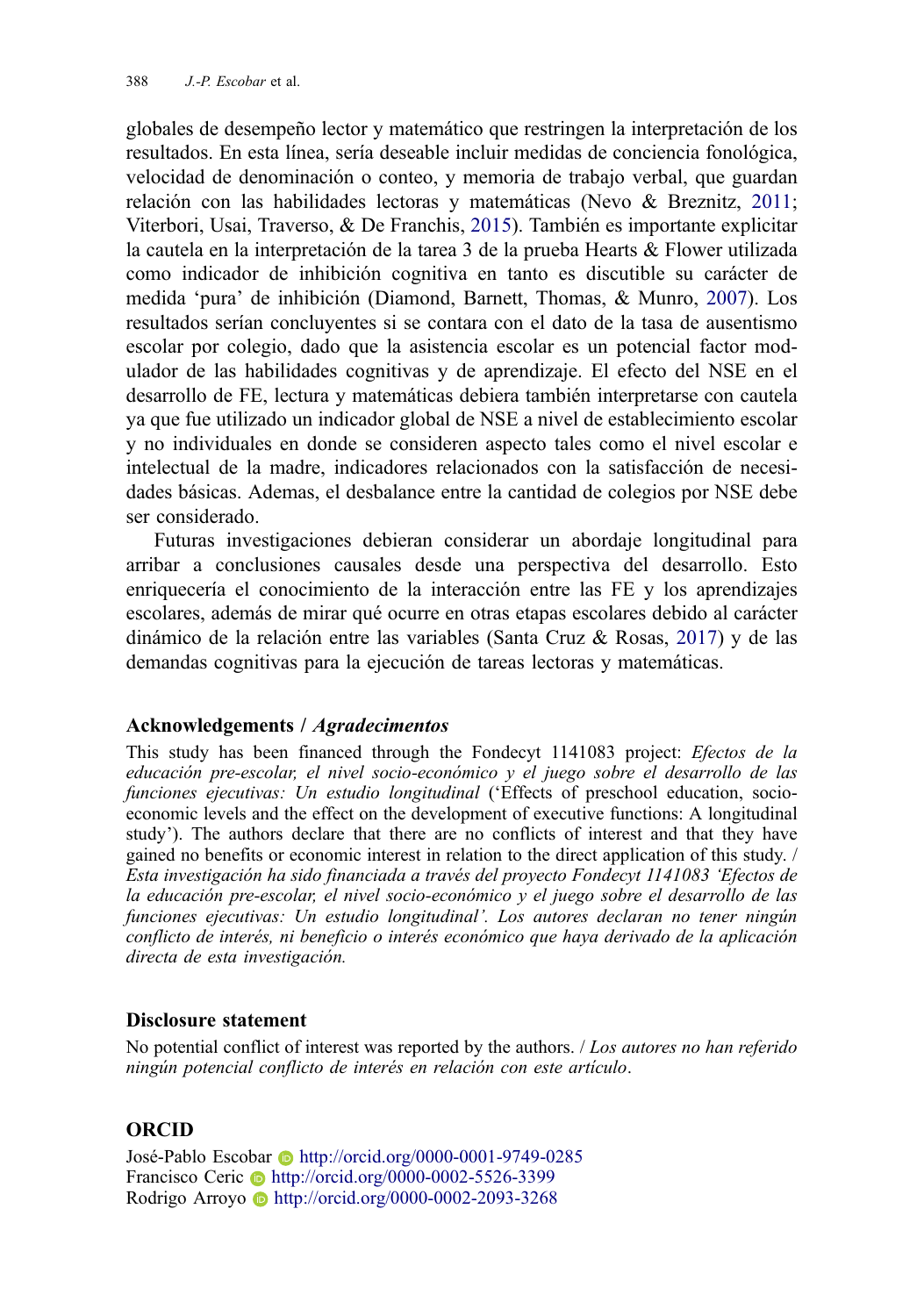globales de desempeño lector y matemático que restringen la interpretación de los resultados. En esta línea, sería deseable incluir medidas de conciencia fonológica, velocidad de denominación o conteo, y memoria de trabajo verbal, que guardan relación con las habilidades lectoras y matemáticas (Nevo & Breznitz, [2011;](#page-24-0) Viterbori, Usai, Traverso, & De Franchis, [2015](#page-25-0)). También es importante explicitar la cautela en la interpretación de la tarea 3 de la prueba Hearts & Flower utilizada como indicador de inhibición cognitiva en tanto es discutible su carácter de medida 'pura' de inhibición (Diamond, Barnett, Thomas, & Munro, [2007](#page-23-0)). Los resultados serían concluyentes si se contara con el dato de la tasa de ausentismo escolar por colegio, dado que la asistencia escolar es un potencial factor modulador de las habilidades cognitivas y de aprendizaje. El efecto del NSE en el desarrollo de FE, lectura y matemáticas debiera también interpretarse con cautela ya que fue utilizado un indicador global de NSE a nivel de establecimiento escolar y no individuales en donde se consideren aspecto tales como el nivel escolar e intelectual de la madre, indicadores relacionados con la satisfacción de necesidades básicas. Ademas, el desbalance entre la cantidad de colegios por NSE debe ser considerado.

Futuras investigaciones debieran considerar un abordaje longitudinal para arribar a conclusiones causales desde una perspectiva del desarrollo. Esto enriquecería el conocimiento de la interacción entre las FE y los aprendizajes escolares, además de mirar qué ocurre en otras etapas escolares debido al carácter dinámico de la relación entre las variables (Santa Cruz & Rosas, [2017](#page-25-0)) y de las demandas cognitivas para la ejecución de tareas lectoras y matemáticas.

#### Acknowledgements / Agradecimentos

This study has been financed through the Fondecyt 1141083 project: Efectos de la educación pre-escolar, el nivel socio-económico y el juego sobre el desarrollo de las funciones ejecutivas: Un estudio longitudinal ('Effects of preschool education, socioeconomic levels and the effect on the development of executive functions: A longitudinal study'). The authors declare that there are no conflicts of interest and that they have gained no benefits or economic interest in relation to the direct application of this study. / Esta investigación ha sido financiada a través del proyecto Fondecyt 1141083 'Efectos de la educación pre-escolar, el nivel socio-económico y el juego sobre el desarrollo de las funciones ejecutivas: Un estudio longitudinal'. Los autores declaran no tener ningún conflicto de interés, ni beneficio o interés económico que haya derivado de la aplicación directa de esta investigación.

#### Disclosure statement

No potential conflict of interest was reported by the authors. *I Los autores no han referido* ningún potencial conflicto de interés en relación con este artículo.

#### ORCID

José-Pablo Escobar **b** http://orcid.org/0000-0001-9749-0285 Francisco Ceric in http://orcid.org/0000-0002-5526-3399 Rodrigo Arroyo http://orcid.org/0000-0002-2093-3268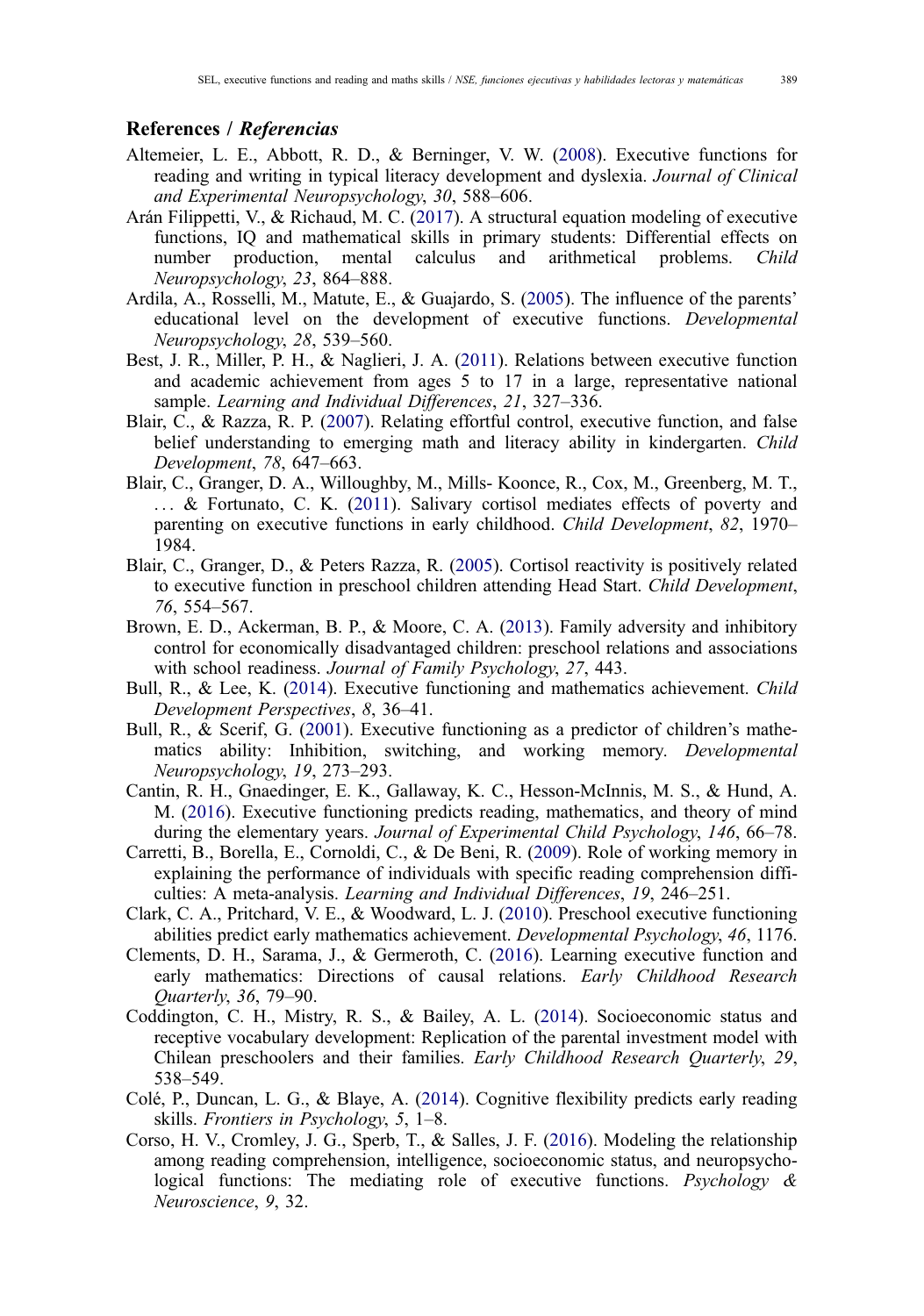#### <span id="page-22-0"></span>References / Referencias

- Altemeier, L. E., Abbott, R. D., & Berninger, V. W. [\(2008](#page-2-0)). Executive functions for reading and writing in typical literacy development and dyslexia. Journal of Clinical and Experimental Neuropsychology, 30, 588–606.
- Arán Filippetti, V., & Richaud, M. C. [\(2017](#page-2-0)). A structural equation modeling of executive functions, IQ and mathematical skills in primary students: Differential effects on number production, mental calculus and arithmetical problems. Child Neuropsychology, 23, 864–888.
- Ardila, A., Rosselli, M., Matute, E., & Guajardo, S. [\(2005](#page-3-0)). The influence of the parents' educational level on the development of executive functions. Developmental Neuropsychology, 28, 539–560.
- Best, J. R., Miller, P. H., & Naglieri, J. A. [\(2011\)](#page-2-0). Relations between executive function and academic achievement from ages 5 to 17 in a large, representative national sample. Learning and Individual Differences, 21, 327–336.
- Blair, C., & Razza, R. P. [\(2007](#page-2-0)). Relating effortful control, executive function, and false belief understanding to emerging math and literacy ability in kindergarten. Child Development, 78, 647–663.
- Blair, C., Granger, D. A., Willoughby, M., Mills- Koonce, R., Cox, M., Greenberg, M. T., . . . & Fortunato, C. K. ([2011\)](#page-9-0). Salivary cortisol mediates effects of poverty and parenting on executive functions in early childhood. Child Development, 82, 1970– 1984.
- Blair, C., Granger, D., & Peters Razza, R. [\(2005](#page-9-0)). Cortisol reactivity is positively related to executive function in preschool children attending Head Start. Child Development, 76, 554–567.
- Brown, E. D., Ackerman, B. P., & Moore, C. A. [\(2013](#page-9-0)). Family adversity and inhibitory control for economically disadvantaged children: preschool relations and associations with school readiness. Journal of Family Psychology, 27, 443.
- Bull, R., & Lee, K. ([2014\)](#page-3-0). Executive functioning and mathematics achievement. Child Development Perspectives, 8, 36–41.
- Bull, R., & Scerif, G. [\(2001](#page-2-0)). Executive functioning as a predictor of children's mathematics ability: Inhibition, switching, and working memory. *Developmental* Neuropsychology, 19, 273–293.
- Cantin, R. H., Gnaedinger, E. K., Gallaway, K. C., Hesson-McInnis, M. S., & Hund, A. M. [\(2016](#page-3-0)). Executive functioning predicts reading, mathematics, and theory of mind during the elementary years. Journal of Experimental Child Psychology, 146, 66–78.
- Carretti, B., Borella, E., Cornoldi, C., & De Beni, R. [\(2009](#page-2-0)). Role of working memory in explaining the performance of individuals with specific reading comprehension difficulties: A meta-analysis. Learning and Individual Differences, 19, 246–251.
- Clark, C. A., Pritchard, V. E., & Woodward, L. J. ([2010\)](#page-9-0). Preschool executive functioning abilities predict early mathematics achievement. Developmental Psychology, 46, 1176.
- Clements, D. H., Sarama, J., & Germeroth, C. ([2016\)](#page-4-0). Learning executive function and early mathematics: Directions of causal relations. Early Childhood Research Quarterly, 36, 79–90.
- Coddington, C. H., Mistry, R. S., & Bailey, A. L. ([2014\)](#page-9-0). Socioeconomic status and receptive vocabulary development: Replication of the parental investment model with Chilean preschoolers and their families. Early Childhood Research Quarterly, 29, 538–549.
- Colé, P., Duncan, L. G., & Blaye, A. [\(2014](#page-9-0)). Cognitive flexibility predicts early reading skills. Frontiers in Psychology, 5, 1–8.
- Corso, H. V., Cromley, J. G., Sperb, T., & Salles, J. F. ([2016\)](#page-10-0). Modeling the relationship among reading comprehension, intelligence, socioeconomic status, and neuropsychological functions: The mediating role of executive functions. Psychology & Neuroscience, 9, 32.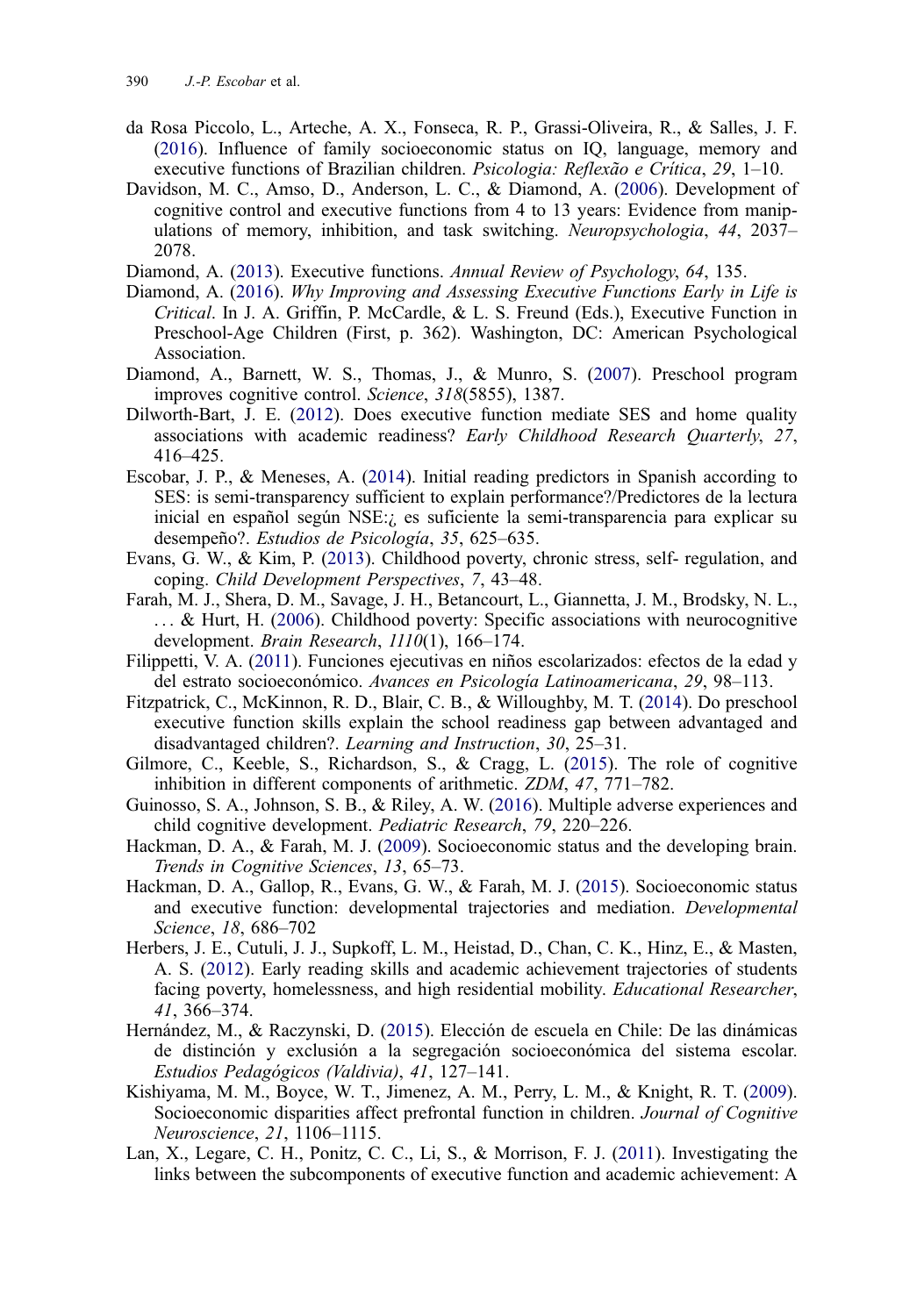- <span id="page-23-0"></span>da Rosa Piccolo, L., Arteche, A. X., Fonseca, R. P., Grassi-Oliveira, R., & Salles, J. F. [\(2016](#page-3-0)). Influence of family socioeconomic status on IQ, language, memory and executive functions of Brazilian children. Psicologia: Reflexão e Crítica, 29, 1–10.
- Davidson, M. C., Amso, D., Anderson, L. C., & Diamond, A. [\(2006](#page-5-0)). Development of cognitive control and executive functions from 4 to 13 years: Evidence from manipulations of memory, inhibition, and task switching. Neuropsychologia, 44, 2037– 2078.

Diamond, A. [\(2013](#page-2-0)). Executive functions. Annual Review of Psychology, 64, 135.

- Diamond, A. [\(2016](#page-4-0)). Why Improving and Assessing Executive Functions Early in Life is Critical. In J. A. Griffin, P. McCardle, & L. S. Freund (Eds.), Executive Function in Preschool-Age Children (First, p. 362). Washington, DC: American Psychological Association.
- Diamond, A., Barnett, W. S., Thomas, J., & Munro, S. [\(2007](#page-10-0)). Preschool program improves cognitive control. Science, 318(5855), 1387.
- Dilworth-Bart, J. E. [\(2012](#page-10-0)). Does executive function mediate SES and home quality associations with academic readiness? Early Childhood Research Quarterly, 27, 416–425.
- Escobar, J. P., & Meneses, A. ([2014\)](#page-9-0). Initial reading predictors in Spanish according to SES: is semi-transparency sufficient to explain performance?/Predictores de la lectura inicial en español según NSE:¿ es suficiente la semi-transparencia para explicar su desempeño?. Estudios de Psicología, 35, 625–635.
- Evans, G. W., & Kim, P. ([2013\)](#page-9-0). Childhood poverty, chronic stress, self- regulation, and coping. Child Development Perspectives, 7, 43–48.
- Farah, M. J., Shera, D. M., Savage, J. H., Betancourt, L., Giannetta, J. M., Brodsky, N. L., . . . & Hurt, H. ([2006\)](#page-3-0). Childhood poverty: Specific associations with neurocognitive development. Brain Research, 1110(1), 166-174.
- Filippetti, V. A. [\(2011\)](#page-3-0). Funciones ejecutivas en niños escolarizados: efectos de la edad y del estrato socioeconómico. Avances en Psicología Latinoamericana, 29, 98–113.
- Fitzpatrick, C., McKinnon, R. D., Blair, C. B., & Willoughby, M. T. [\(2014](#page-10-0)). Do preschool executive function skills explain the school readiness gap between advantaged and disadvantaged children?. Learning and Instruction, 30, 25–31.
- Gilmore, C., Keeble, S., Richardson, S., & Cragg, L. ([2015\)](#page-3-0). The role of cognitive inhibition in different components of arithmetic. ZDM, 47, 771–782.
- Guinosso, S. A., Johnson, S. B., & Riley, A. W. [\(2016](#page-10-0)). Multiple adverse experiences and child cognitive development. Pediatric Research, 79, 220–226.
- Hackman, D. A., & Farah, M. J. ([2009\)](#page-3-0). Socioeconomic status and the developing brain. Trends in Cognitive Sciences, 13, 65–73.
- Hackman, D. A., Gallop, R., Evans, G. W., & Farah, M. J. ([2015\)](#page-3-0). Socioeconomic status and executive function: developmental trajectories and mediation. Developmental Science, 18, 686–702
- Herbers, J. E., Cutuli, J. J., Supkoff, L. M., Heistad, D., Chan, C. K., Hinz, E., & Masten, A. S. [\(2012](#page-9-0)). Early reading skills and academic achievement trajectories of students facing poverty, homelessness, and high residential mobility. Educational Researcher, 41, 366–374.
- Hernández, M., & Raczynski, D. [\(2015](#page-10-0)). Elección de escuela en Chile: De las dinámicas de distinción y exclusión a la segregación socioeconómica del sistema escolar. Estudios Pedagógicos (Valdivia), 41, 127–141.
- Kishiyama, M. M., Boyce, W. T., Jimenez, A. M., Perry, L. M., & Knight, R. T. [\(2009](#page-8-0)). Socioeconomic disparities affect prefrontal function in children. Journal of Cognitive Neuroscience, 21, 1106–1115.
- Lan, X., Legare, C. H., Ponitz, C. C., Li, S., & Morrison, F. J. [\(2011\)](#page-3-0). Investigating the links between the subcomponents of executive function and academic achievement: A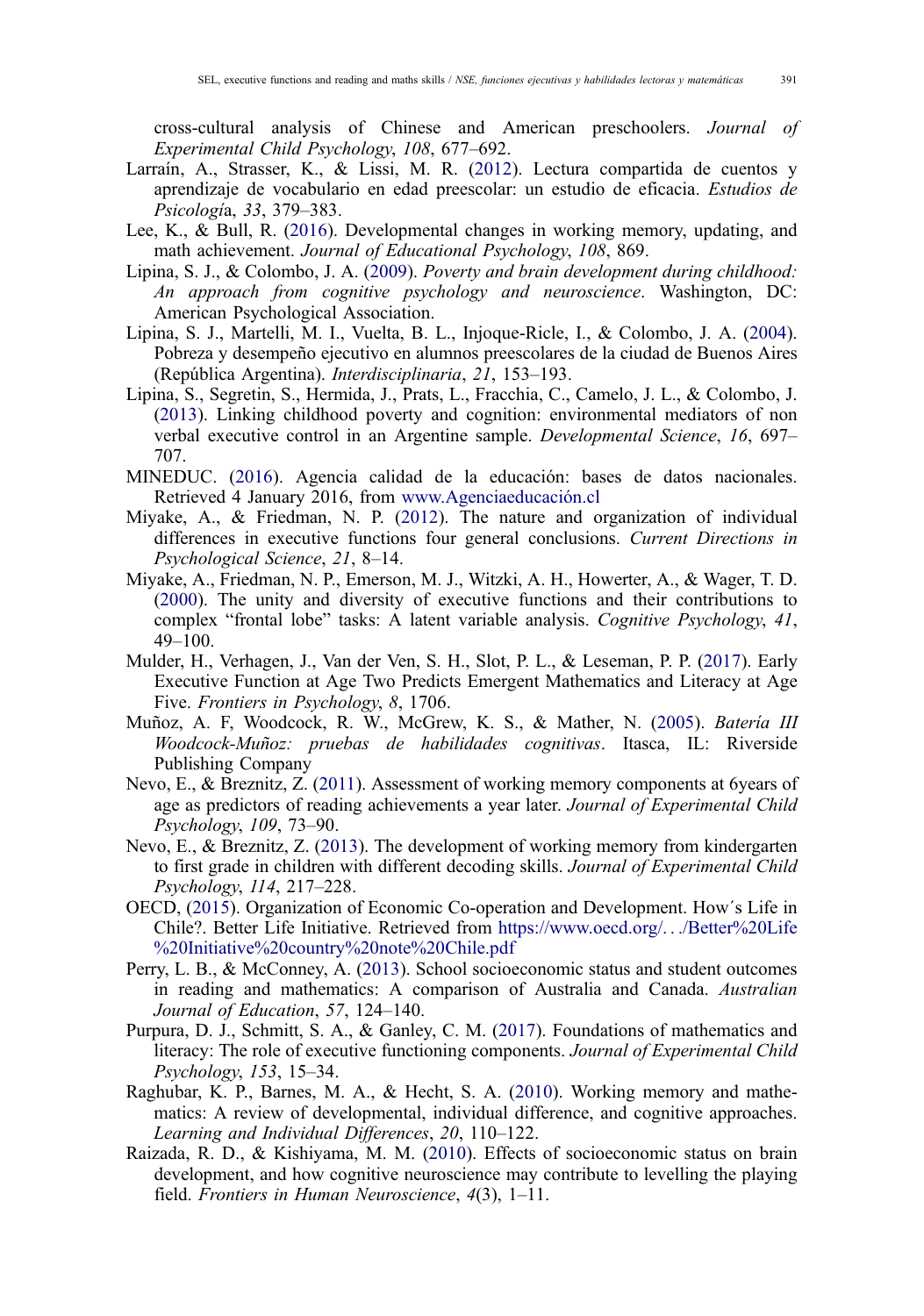<span id="page-24-0"></span>cross-cultural analysis of Chinese and American preschoolers. Journal of Experimental Child Psychology, 108, 677–692.

- Larraín, A., Strasser, K., & Lissi, M. R. ([2012\)](#page-9-0). Lectura compartida de cuentos y aprendizaje de vocabulario en edad preescolar: un estudio de eficacia. Estudios de Psicología, 33, 379–383.
- Lee, K., & Bull, R. ([2016\)](#page-2-0). Developmental changes in working memory, updating, and math achievement. Journal of Educational Psychology, 108, 869.
- Lipina, S. J., & Colombo, J. A. ([2009\)](#page-8-0). Poverty and brain development during childhood: An approach from cognitive psychology and neuroscience. Washington, DC: American Psychological Association.
- Lipina, S. J., Martelli, M. I., Vuelta, B. L., Injoque-Ricle, I., & Colombo, J. A. [\(2004](#page-9-0)). Pobreza y desempeño ejecutivo en alumnos preescolares de la ciudad de Buenos Aires (República Argentina). Interdisciplinaria, 21, 153–193.
- Lipina, S., Segretin, S., Hermida, J., Prats, L., Fracchia, C., Camelo, J. L., & Colombo, J. [\(2013](#page-3-0)). Linking childhood poverty and cognition: environmental mediators of non verbal executive control in an Argentine sample. Developmental Science, 16, 697– 707.
- MINEDUC. ([2016\)](#page-4-0). Agencia calidad de la educación: bases de datos nacionales. Retrieved 4 January 2016, from [www.Agenciaeducación.cl](http://www.Agenciaeducaci%F3n.cl)
- Miyake, A., & Friedman, N. P. [\(2012](#page-2-0)). The nature and organization of individual differences in executive functions four general conclusions. Current Directions in Psychological Science, 21, 8–14.
- Miyake, A., Friedman, N. P., Emerson, M. J., Witzki, A. H., Howerter, A., & Wager, T. D. [\(2000](#page-2-0)). The unity and diversity of executive functions and their contributions to complex "frontal lobe" tasks: A latent variable analysis. Cognitive Psychology, 41, 49–100.
- Mulder, H., Verhagen, J., Van der Ven, S. H., Slot, P. L., & Leseman, P. P. ([2017\)](#page-2-0). Early Executive Function at Age Two Predicts Emergent Mathematics and Literacy at Age Five. Frontiers in Psychology, 8, 1706.
- Muñoz, A. F, Woodcock, R. W., McGrew, K. S., & Mather, N. ([2005\)](#page-5-0). Batería III Woodcock-Muñoz: pruebas de habilidades cognitivas. Itasca, IL: Riverside Publishing Company
- Nevo, E., & Breznitz, Z. [\(2011\)](#page-10-0). Assessment of working memory components at 6years of age as predictors of reading achievements a year later. Journal of Experimental Child Psychology, 109, 73–90.
- Nevo, E., & Breznitz, Z. [\(2013](#page-2-0)). The development of working memory from kindergarten to first grade in children with different decoding skills. Journal of Experimental Child Psychology, 114, 217–228.
- OECD, ([2015\)](#page-3-0). Organization of Economic Co-operation and Development. How´s Life in Chile?. Better Life Initiative. Retrieved from [https://www.oecd.org/. . ./Better%20Life](https://www.oecd.org/%2026/Better%20Life%20Initiative%20country%20note%20Chile.pdf) [%20Initiative%20country%20note%20Chile.pdf](https://www.oecd.org/%2026/Better%20Life%20Initiative%20country%20note%20Chile.pdf)
- Perry, L. B., & McConney, A. ([2013\)](#page-10-0). School socioeconomic status and student outcomes in reading and mathematics: A comparison of Australia and Canada. Australian Journal of Education, 57, 124–140.
- Purpura, D. J., Schmitt, S. A., & Ganley, C. M. [\(2017](#page-2-0)). Foundations of mathematics and literacy: The role of executive functioning components. Journal of Experimental Child Psychology, 153, 15–34.
- Raghubar, K. P., Barnes, M. A., & Hecht, S. A. [\(2010](#page-3-0)). Working memory and mathematics: A review of developmental, individual difference, and cognitive approaches. Learning and Individual Differences, 20, 110–122.
- Raizada, R. D., & Kishiyama, M. M. [\(2010\)](#page-8-0). Effects of socioeconomic status on brain development, and how cognitive neuroscience may contribute to levelling the playing field. Frontiers in Human Neuroscience, 4(3), 1-11.